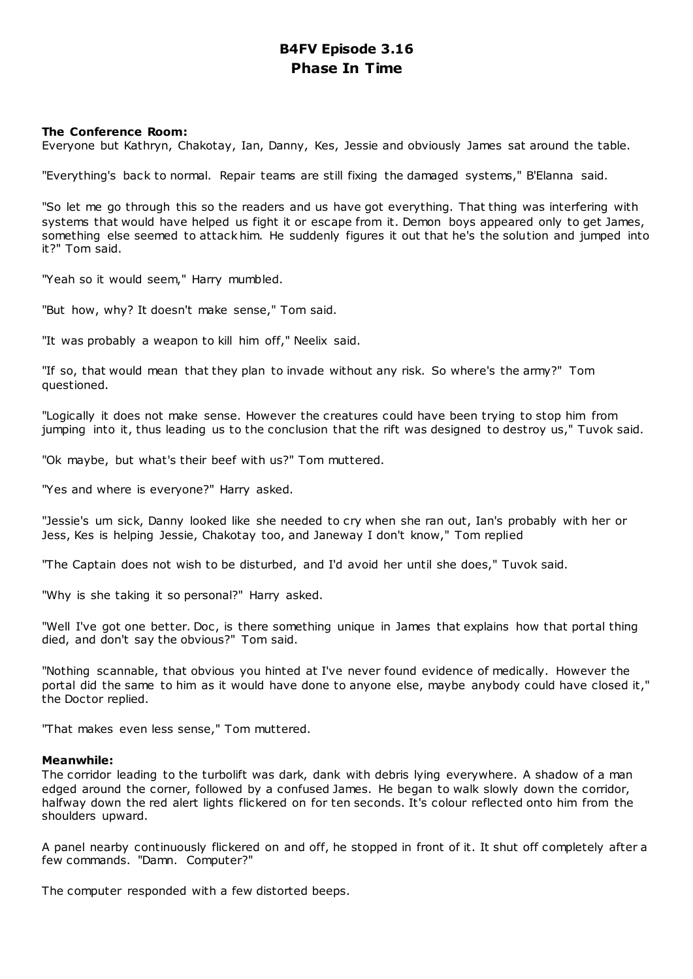## **B4FV Episode 3.16 Phase In Time**

## **The Conference Room:**

Everyone but Kathryn, Chakotay, Ian, Danny, Kes, Jessie and obviously James sat around the table.

"Everything's back to normal. Repair teams are still fixing the damaged systems," B'Elanna said.

"So let me go through this so the readers and us have got everything. That thing was interfering with systems that would have helped us fight it or escape from it. Demon boys appeared only to get James, something else seemed to attack him. He suddenly figures it out that he's the solution and jumped into it?" Tom said.

"Yeah so it would seem," Harry mumbled.

"But how, why? It doesn't make sense," Tom said.

"It was probably a weapon to kill him off," Neelix said.

"If so, that would mean that they plan to invade without any risk. So where's the army?" Tom questioned.

"Logically it does not make sense. However the creatures could have been trying to stop him from jumping into it, thus leading us to the conclusion that the rift was designed to destroy us," Tuvok said.

"Ok maybe, but what's their beef with us?" Tom muttered.

"Yes and where is everyone?" Harry asked.

"Jessie's um sick, Danny looked like she needed to cry when she ran out, Ian's probably with her or Jess, Kes is helping Jessie, Chakotay too, and Janeway I don't know," Tom replied

"The Captain does not wish to be disturbed, and I'd avoid her until she does," Tuvok said.

"Why is she taking it so personal?" Harry asked.

"Well I've got one better. Doc, is there something unique in James that explains how that portal thing died, and don't say the obvious?" Tom said.

"Nothing scannable, that obvious you hinted at I've never found evidence of medically. However the portal did the same to him as it would have done to anyone else, maybe anybody could have closed it," the Doctor replied.

"That makes even less sense," Tom muttered.

## **Meanwhile:**

The corridor leading to the turbolift was dark, dank with debris lying everywhere. A shadow of a man edged around the corner, followed by a confused James. He began to walk slowly down the corridor, halfway down the red alert lights flickered on for ten seconds. It's colour reflected onto him from the shoulders upward.

A panel nearby continuously flickered on and off, he stopped in front of it. It shut off completely after a few commands. "Damn. Computer?"

The computer responded with a few distorted beeps.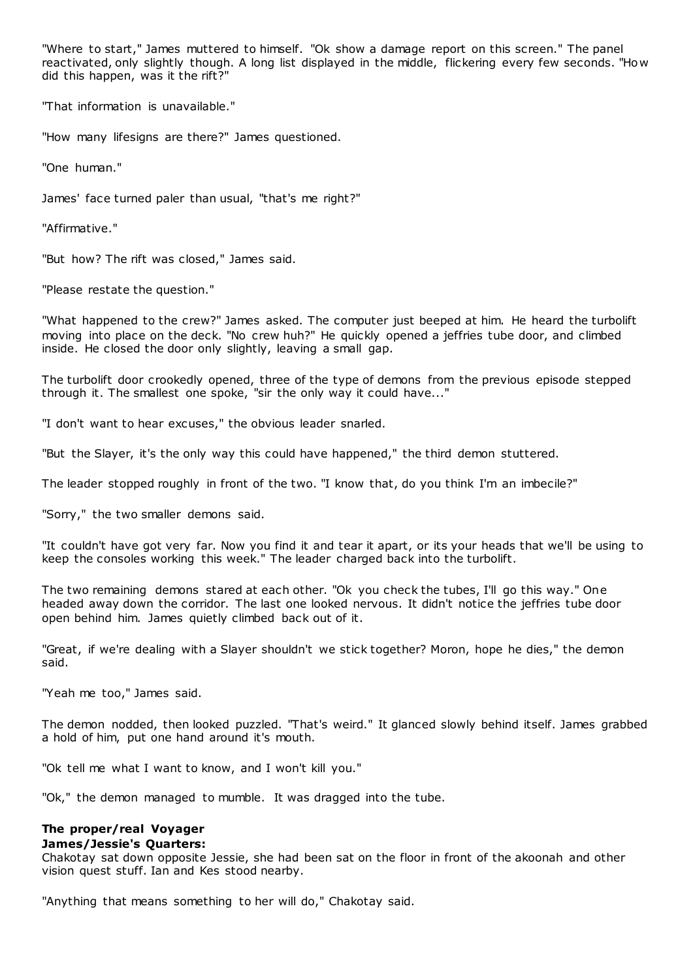"Where to start," James muttered to himself. "Ok show a damage report on this screen." The panel reactivated, only slightly though. A long list displayed in the middle, flickering every few seconds. "Ho w did this happen, was it the rift?"

"That information is unavailable."

"How many lifesigns are there?" James questioned.

"One human."

James' face turned paler than usual, "that's me right?"

"Affirmative."

"But how? The rift was closed," James said.

"Please restate the question."

"What happened to the crew?" James asked. The computer just beeped at him. He heard the turbolift moving into place on the deck. "No crew huh?" He quickly opened a jeffries tube door, and climbed inside. He closed the door only slightly, leaving a small gap.

The turbolift door crookedly opened, three of the type of demons from the previous episode stepped through it. The smallest one spoke, "sir the only way it could have..."

"I don't want to hear excuses," the obvious leader snarled.

"But the Slayer, it's the only way this could have happened," the third demon stuttered.

The leader stopped roughly in front of the two. "I know that, do you think I'm an imbecile?"

"Sorry," the two smaller demons said.

"It couldn't have got very far. Now you find it and tear it apart, or its your heads that we'll be using to keep the consoles working this week." The leader charged back into the turbolift.

The two remaining demons stared at each other. "Ok you check the tubes, I'll go this way." One headed away down the corridor. The last one looked nervous. It didn't notice the jeffries tube door open behind him. James quietly climbed back out of it.

"Great, if we're dealing with a Slayer shouldn't we stick together? Moron, hope he dies," the demon said.

"Yeah me too," James said.

The demon nodded, then looked puzzled. "That's weird." It glanced slowly behind itself. James grabbed a hold of him, put one hand around it's mouth.

"Ok tell me what I want to know, and I won't kill you."

"Ok," the demon managed to mumble. It was dragged into the tube.

# **The proper/real Voyager**

## **James/Jessie's Quarters:**

Chakotay sat down opposite Jessie, she had been sat on the floor in front of the akoonah and other vision quest stuff. Ian and Kes stood nearby.

"Anything that means something to her will do," Chakotay said.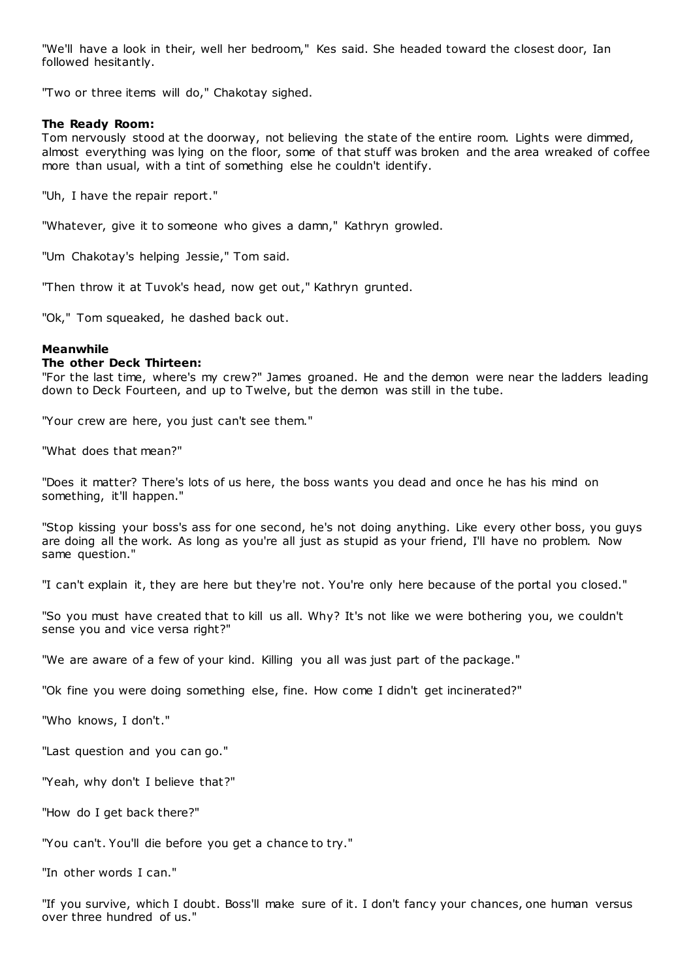"We'll have a look in their, well her bedroom," Kes said. She headed toward the closest door, Ian followed hesitantly.

"Two or three items will do," Chakotay sighed.

## **The Ready Room:**

Tom nervously stood at the doorway, not believing the state of the entire room. Lights were dimmed, almost everything was lying on the floor, some of that stuff was broken and the area wreaked of coffee more than usual, with a tint of something else he couldn't identify.

"Uh, I have the repair report."

"Whatever, give it to someone who gives a damn," Kathryn growled.

"Um Chakotay's helping Jessie," Tom said.

"Then throw it at Tuvok's head, now get out," Kathryn grunted.

"Ok," Tom squeaked, he dashed back out.

## **Meanwhile**

## **The other Deck Thirteen:**

"For the last time, where's my crew?" James groaned. He and the demon were near the ladders leading down to Deck Fourteen, and up to Twelve, but the demon was still in the tube.

"Your crew are here, you just can't see them."

"What does that mean?"

"Does it matter? There's lots of us here, the boss wants you dead and once he has his mind on something, it'll happen."

"Stop kissing your boss's ass for one second, he's not doing anything. Like every other boss, you guys are doing all the work. As long as you're all just as stupid as your friend, I'll have no problem. Now same question."

"I can't explain it, they are here but they're not. You're only here because of the portal you closed."

"So you must have created that to kill us all. Why? It's not like we were bothering you, we couldn't sense you and vice versa right?"

"We are aware of a few of your kind. Killing you all was just part of the package."

"Ok fine you were doing something else, fine. How come I didn't get incinerated?"

"Who knows, I don't."

"Last question and you can go."

"Yeah, why don't I believe that?"

"How do I get back there?"

"You can't. You'll die before you get a chance to try."

"In other words I can."

"If you survive, which I doubt. Boss'll make sure of it. I don't fancy your chances, one human versus over three hundred of us."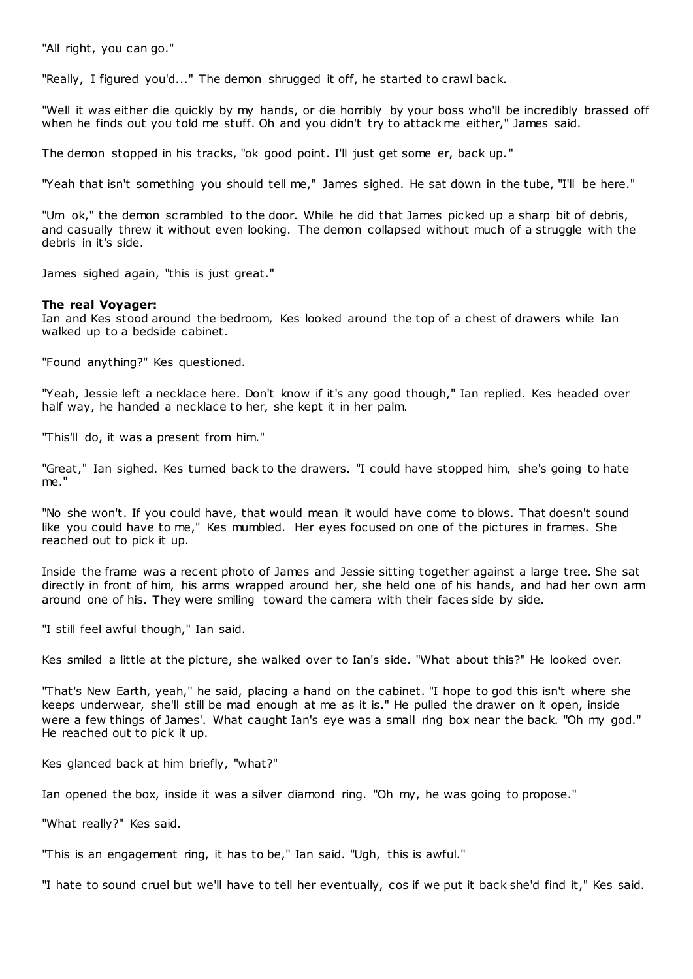"All right, you can go."

"Really, I figured you'd..." The demon shrugged it off, he started to crawl back.

"Well it was either die quickly by my hands, or die horribly by your boss who'll be incredibly brassed off when he finds out you told me stuff. Oh and you didn't try to attack me either," James said.

The demon stopped in his tracks, "ok good point. I'll just get some er, back up. "

"Yeah that isn't something you should tell me," James sighed. He sat down in the tube, "I'll be here."

"Um ok," the demon scrambled to the door. While he did that James picked up a sharp bit of debris, and casually threw it without even looking. The demon collapsed without much of a struggle with the debris in it's side.

James sighed again, "this is just great."

## **The real Voyager:**

Ian and Kes stood around the bedroom, Kes looked around the top of a chest of drawers while Ian walked up to a bedside cabinet.

"Found anything?" Kes questioned.

"Yeah, Jessie left a necklace here. Don't know if it's any good though," Ian replied. Kes headed over half way, he handed a necklace to her, she kept it in her palm.

"This'll do, it was a present from him."

"Great," Ian sighed. Kes turned back to the drawers. "I could have stopped him, she's going to hate me."

"No she won't. If you could have, that would mean it would have come to blows. That doesn't sound like you could have to me," Kes mumbled. Her eyes focused on one of the pictures in frames. She reached out to pick it up.

Inside the frame was a recent photo of James and Jessie sitting together against a large tree. She sat directly in front of him, his arms wrapped around her, she held one of his hands, and had her own arm around one of his. They were smiling toward the camera with their faces side by side.

"I still feel awful though," Ian said.

Kes smiled a little at the picture, she walked over to Ian's side. "What about this?" He looked over.

"That's New Earth, yeah," he said, placing a hand on the cabinet. "I hope to god this isn't where she keeps underwear, she'll still be mad enough at me as it is." He pulled the drawer on it open, inside were a few things of James'. What caught Ian's eye was a small ring box near the back. "Oh my god." He reached out to pick it up.

Kes glanced back at him briefly, "what?"

Ian opened the box, inside it was a silver diamond ring. "Oh my, he was going to propose."

"What really?" Kes said.

"This is an engagement ring, it has to be," Ian said. "Ugh, this is awful."

"I hate to sound cruel but we'll have to tell her eventually, cos if we put it back she'd find it," Kes said.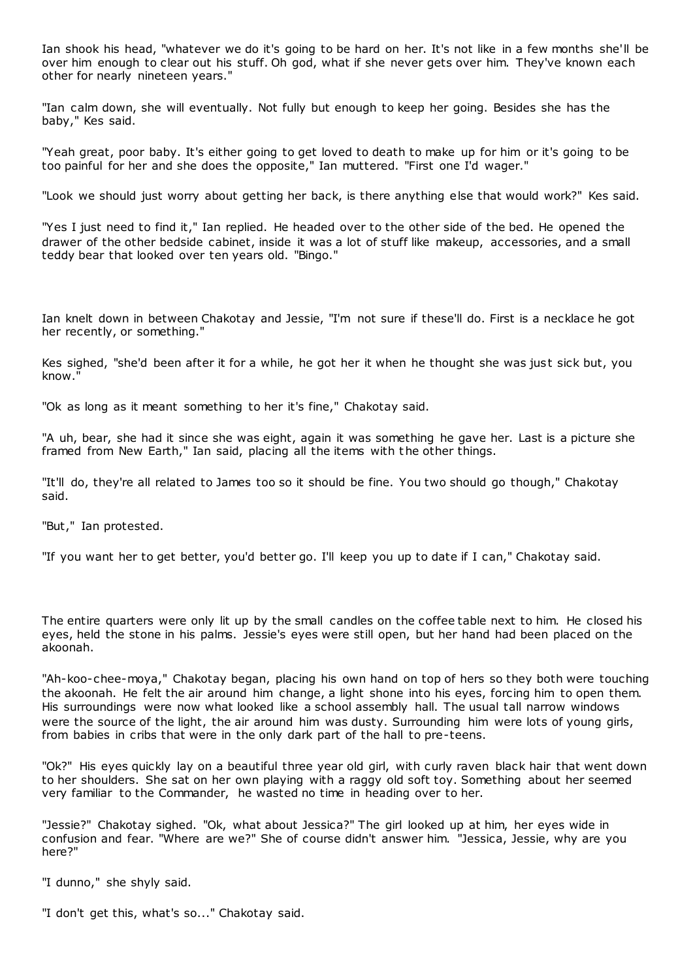Ian shook his head, "whatever we do it's going to be hard on her. It's not like in a few months she'll be over him enough to clear out his stuff. Oh god, what if she never gets over him. They've known each other for nearly nineteen years."

"Ian calm down, she will eventually. Not fully but enough to keep her going. Besides she has the baby," Kes said.

"Yeah great, poor baby. It's either going to get loved to death to make up for him or it's going to be too painful for her and she does the opposite," Ian muttered. "First one I'd wager."

"Look we should just worry about getting her back, is there anything else that would work?" Kes said.

"Yes I just need to find it," Ian replied. He headed over to the other side of the bed. He opened the drawer of the other bedside cabinet, inside it was a lot of stuff like makeup, accessories, and a small teddy bear that looked over ten years old. "Bingo."

Ian knelt down in between Chakotay and Jessie, "I'm not sure if these'll do. First is a necklace he got her recently, or something."

Kes sighed, "she'd been after it for a while, he got her it when he thought she was just sick but, you know."

"Ok as long as it meant something to her it's fine," Chakotay said.

"A uh, bear, she had it since she was eight, again it was something he gave her. Last is a picture she framed from New Earth," Ian said, placing all the items with the other things.

"It'll do, they're all related to James too so it should be fine. You two should go though," Chakotay said.

"But," Ian protested.

"If you want her to get better, you'd better go. I'll keep you up to date if I can," Chakotay said.

The entire quarters were only lit up by the small candles on the coffee table next to him. He closed his eyes, held the stone in his palms. Jessie's eyes were still open, but her hand had been placed on the akoonah.

"Ah-koo-chee-moya," Chakotay began, placing his own hand on top of hers so they both were touching the akoonah. He felt the air around him change, a light shone into his eyes, forcing him to open them. His surroundings were now what looked like a school assembly hall. The usual tall narrow windows were the source of the light, the air around him was dusty. Surrounding him were lots of young girls, from babies in cribs that were in the only dark part of the hall to pre-teens.

"Ok?" His eyes quickly lay on a beautiful three year old girl, with curly raven black hair that went down to her shoulders. She sat on her own playing with a raggy old soft toy. Something about her seemed very familiar to the Commander, he wasted no time in heading over to her.

"Jessie?" Chakotay sighed. "Ok, what about Jessica?" The girl looked up at him, her eyes wide in confusion and fear. "Where are we?" She of course didn't answer him. "Jessica, Jessie, why are you here?"

"I dunno," she shyly said.

"I don't get this, what's so..." Chakotay said.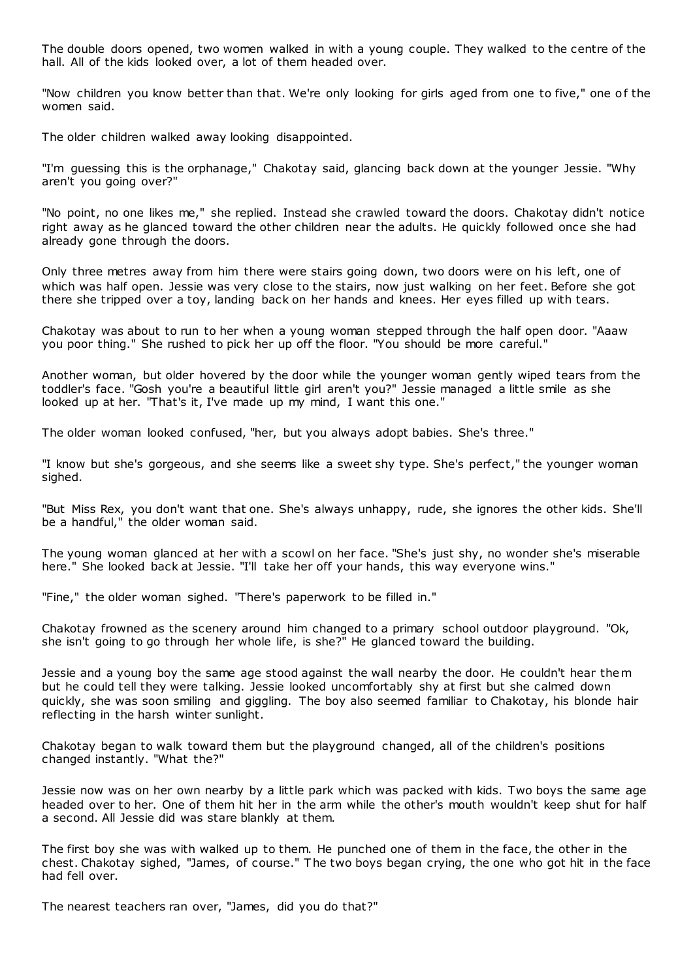The double doors opened, two women walked in with a young couple. They walked to the centre of the hall. All of the kids looked over, a lot of them headed over.

"Now children you know better than that. We're only looking for girls aged from one to five," one of the women said.

The older children walked away looking disappointed.

"I'm guessing this is the orphanage," Chakotay said, glancing back down at the younger Jessie. "Why aren't you going over?"

"No point, no one likes me," she replied. Instead she crawled toward the doors. Chakotay didn't notice right away as he glanced toward the other children near the adults. He quickly followed once she had already gone through the doors.

Only three metres away from him there were stairs going down, two doors were on his left, one of which was half open. Jessie was very close to the stairs, now just walking on her feet. Before she got there she tripped over a toy, landing back on her hands and knees. Her eyes filled up with tears.

Chakotay was about to run to her when a young woman stepped through the half open door. "Aaaw you poor thing." She rushed to pick her up off the floor. "You should be more careful."

Another woman, but older hovered by the door while the younger woman gently wiped tears from the toddler's face. "Gosh you're a beautiful little girl aren't you?" Jessie managed a little smile as she looked up at her. "That's it, I've made up my mind, I want this one."

The older woman looked confused, "her, but you always adopt babies. She's three."

"I know but she's gorgeous, and she seems like a sweet shy type. She's perfect," the younger woman sighed.

"But Miss Rex, you don't want that one. She's always unhappy, rude, she ignores the other kids. She'll be a handful," the older woman said.

The young woman glanced at her with a scowl on her face. "She's just shy, no wonder she's miserable here." She looked back at Jessie. "I'll take her off your hands, this way everyone wins."

"Fine," the older woman sighed. "There's paperwork to be filled in."

Chakotay frowned as the scenery around him changed to a primary school outdoor playground. "Ok, she isn't going to go through her whole life, is she?" He glanced toward the building.

Jessie and a young boy the same age stood against the wall nearby the door. He couldn't hear them but he could tell they were talking. Jessie looked uncomfortably shy at first but she calmed down quickly, she was soon smiling and giggling. The boy also seemed familiar to Chakotay, his blonde hair reflecting in the harsh winter sunlight.

Chakotay began to walk toward them but the playground changed, all of the children's positions changed instantly. "What the?"

Jessie now was on her own nearby by a little park which was packed with kids. Two boys the same age headed over to her. One of them hit her in the arm while the other's mouth wouldn't keep shut for half a second. All Jessie did was stare blankly at them.

The first boy she was with walked up to them. He punched one of them in the face, the other in the chest. Chakotay sighed, "James, of course." The two boys began crying, the one who got hit in the face had fell over.

The nearest teachers ran over, "James, did you do that?"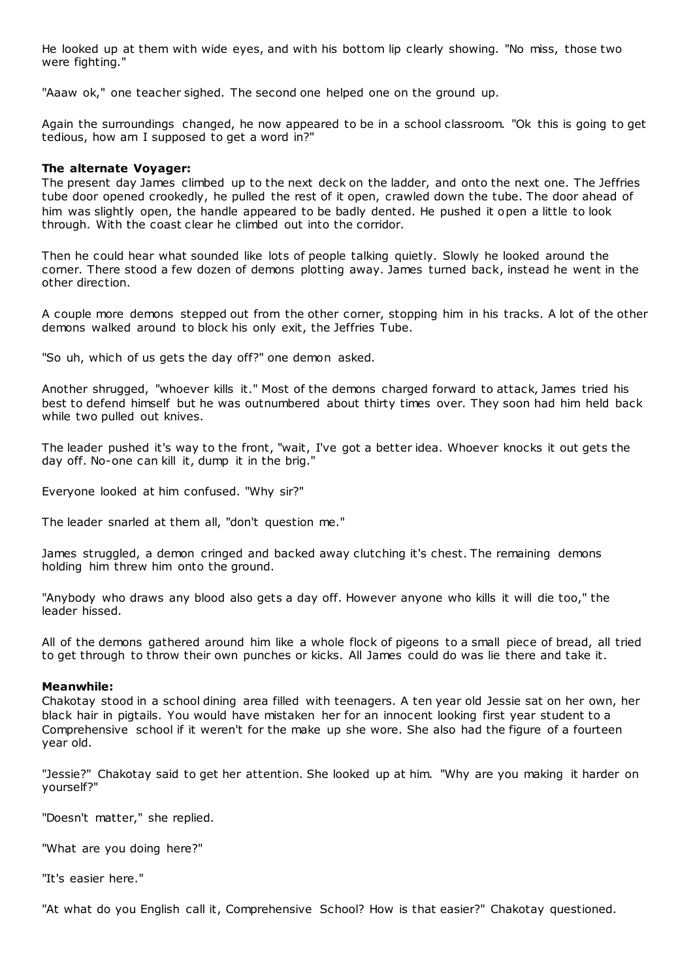He looked up at them with wide eyes, and with his bottom lip clearly showing. "No miss, those two were fighting."

"Aaaw ok," one teacher sighed. The second one helped one on the ground up.

Again the surroundings changed, he now appeared to be in a school classroom. "Ok this is going to get tedious, how am I supposed to get a word in?"

## **The alternate Voyager:**

The present day James climbed up to the next deck on the ladder, and onto the next one. The Jeffries tube door opened crookedly, he pulled the rest of it open, crawled down the tube. The door ahead of him was slightly open, the handle appeared to be badly dented. He pushed it open a little to look through. With the coast clear he climbed out into the corridor.

Then he could hear what sounded like lots of people talking quietly. Slowly he looked around the corner. There stood a few dozen of demons plotting away. James turned back, instead he went in the other direction.

A couple more demons stepped out from the other corner, stopping him in his tracks. A lot of the other demons walked around to block his only exit, the Jeffries Tube.

"So uh, which of us gets the day off?" one demon asked.

Another shrugged, "whoever kills it." Most of the demons charged forward to attack, James tried his best to defend himself but he was outnumbered about thirty times over. They soon had him held back while two pulled out knives.

The leader pushed it's way to the front, "wait, I've got a better idea. Whoever knocks it out gets the day off. No-one can kill it, dump it in the brig."

Everyone looked at him confused. "Why sir?"

The leader snarled at them all, "don't question me."

James struggled, a demon cringed and backed away clutching it's chest. The remaining demons holding him threw him onto the ground.

"Anybody who draws any blood also gets a day off. However anyone who kills it will die too," the leader hissed.

All of the demons gathered around him like a whole flock of pigeons to a small piece of bread, all tried to get through to throw their own punches or kicks. All James could do was lie there and take it.

## **Meanwhile:**

Chakotay stood in a school dining area filled with teenagers. A ten year old Jessie sat on her own, her black hair in pigtails. You would have mistaken her for an innocent looking first year student to a Comprehensive school if it weren't for the make up she wore. She also had the figure of a fourteen year old.

"Jessie?" Chakotay said to get her attention. She looked up at him. "Why are you making it harder on yourself?"

"Doesn't matter," she replied.

"What are you doing here?"

"It's easier here."

"At what do you English call it, Comprehensive School? How is that easier?" Chakotay questioned.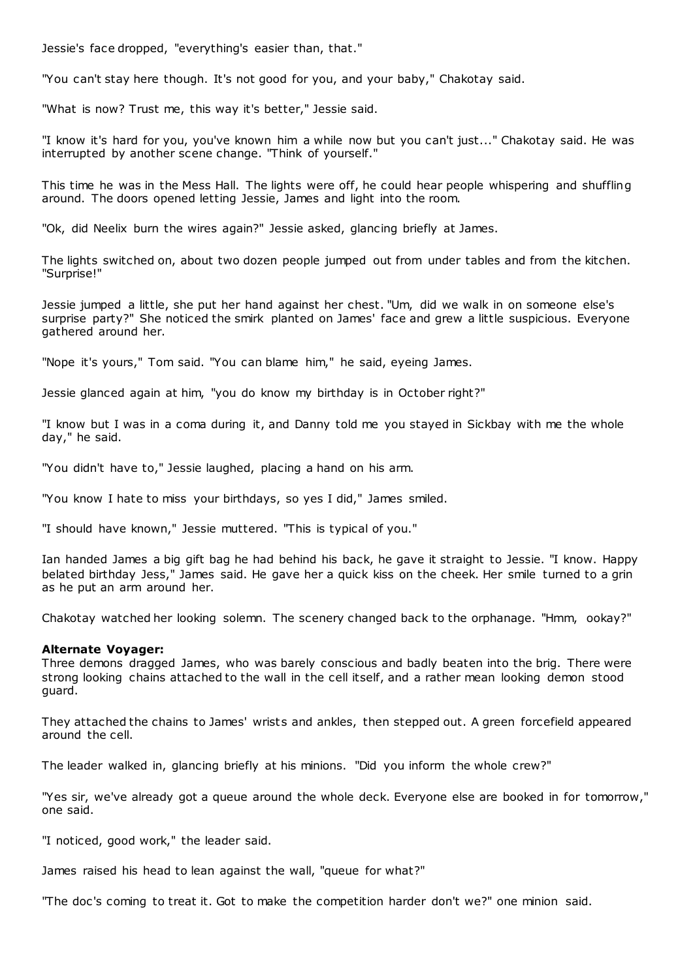Jessie's face dropped, "everything's easier than, that."

"You can't stay here though. It's not good for you, and your baby," Chakotay said.

"What is now? Trust me, this way it's better," Jessie said.

"I know it's hard for you, you've known him a while now but you can't just..." Chakotay said. He was interrupted by another scene change. "Think of yourself."

This time he was in the Mess Hall. The lights were off, he could hear people whispering and shuffling around. The doors opened letting Jessie, James and light into the room.

"Ok, did Neelix burn the wires again?" Jessie asked, glancing briefly at James.

The lights switched on, about two dozen people jumped out from under tables and from the kitchen. "Surprise!"

Jessie jumped a little, she put her hand against her chest. "Um, did we walk in on someone else's surprise party?" She noticed the smirk planted on James' face and grew a little suspicious. Everyone gathered around her.

"Nope it's yours," Tom said. "You can blame him," he said, eyeing James.

Jessie glanced again at him, "you do know my birthday is in October right?"

"I know but I was in a coma during it, and Danny told me you stayed in Sickbay with me the whole day," he said.

"You didn't have to," Jessie laughed, placing a hand on his arm.

"You know I hate to miss your birthdays, so yes I did," James smiled.

"I should have known," Jessie muttered. "This is typical of you."

Ian handed James a big gift bag he had behind his back, he gave it straight to Jessie. "I know. Happy belated birthday Jess," James said. He gave her a quick kiss on the cheek. Her smile turned to a grin as he put an arm around her.

Chakotay watched her looking solemn. The scenery changed back to the orphanage. "Hmm, ookay?"

#### **Alternate Voyager:**

Three demons dragged James, who was barely conscious and badly beaten into the brig. There were strong looking chains attached to the wall in the cell itself, and a rather mean looking demon stood guard.

They attached the chains to James' wrists and ankles, then stepped out. A green forcefield appeared around the cell.

The leader walked in, glancing briefly at his minions. "Did you inform the whole crew?"

"Yes sir, we've already got a queue around the whole deck. Everyone else are booked in for tomorrow," one said.

"I noticed, good work," the leader said.

James raised his head to lean against the wall, "queue for what?"

"The doc's coming to treat it. Got to make the competition harder don't we?" one minion said.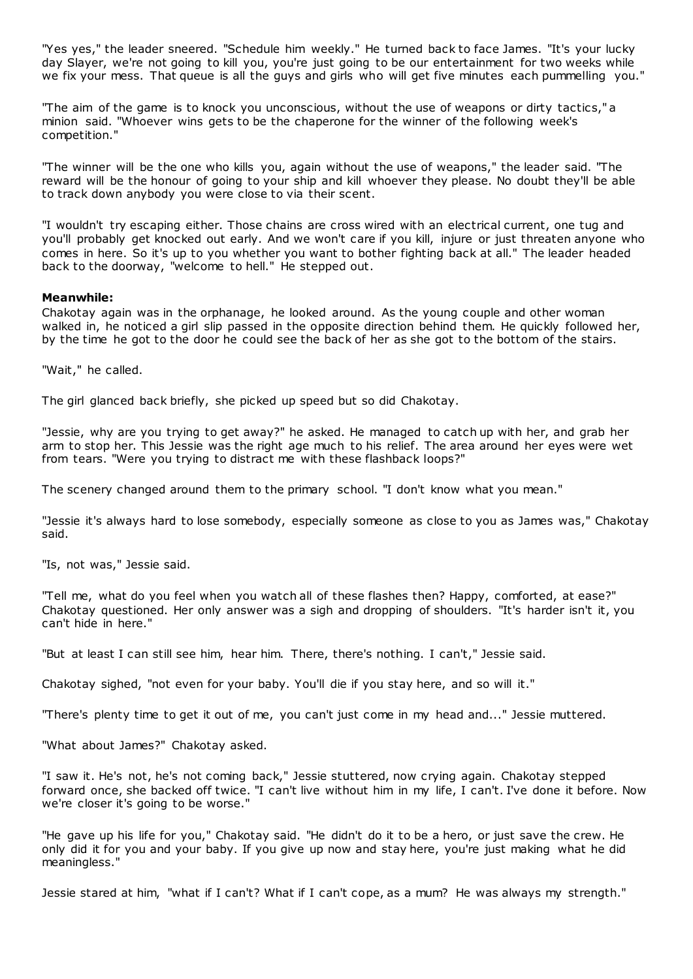"Yes yes," the leader sneered. "Schedule him weekly." He turned back to face James. "It's your lucky day Slayer, we're not going to kill you, you're just going to be our entertainment for two weeks while we fix your mess. That queue is all the guys and girls who will get five minutes each pummelling you."

"The aim of the game is to knock you unconscious, without the use of weapons or dirty tactics," a minion said. "Whoever wins gets to be the chaperone for the winner of the following week's competition."

"The winner will be the one who kills you, again without the use of weapons," the leader said. "The reward will be the honour of going to your ship and kill whoever they please. No doubt they'll be able to track down anybody you were close to via their scent.

"I wouldn't try escaping either. Those chains are cross wired with an electrical current, one tug and you'll probably get knocked out early. And we won't care if you kill, injure or just threaten anyone who comes in here. So it's up to you whether you want to bother fighting back at all." The leader headed back to the doorway, "welcome to hell." He stepped out.

## **Meanwhile:**

Chakotay again was in the orphanage, he looked around. As the young couple and other woman walked in, he noticed a girl slip passed in the opposite direction behind them. He quickly followed her, by the time he got to the door he could see the back of her as she got to the bottom of the stairs.

"Wait," he called.

The girl glanced back briefly, she picked up speed but so did Chakotay.

"Jessie, why are you trying to get away?" he asked. He managed to catch up with her, and grab her arm to stop her. This Jessie was the right age much to his relief. The area around her eyes were wet from tears. "Were you trying to distract me with these flashback loops?"

The scenery changed around them to the primary school. "I don't know what you mean."

"Jessie it's always hard to lose somebody, especially someone as close to you as James was," Chakotay said.

"Is, not was," Jessie said.

"Tell me, what do you feel when you watch all of these flashes then? Happy, comforted, at ease?" Chakotay questioned. Her only answer was a sigh and dropping of shoulders. "It's harder isn't it, you can't hide in here."

"But at least I can still see him, hear him. There, there's nothing. I can't," Jessie said.

Chakotay sighed, "not even for your baby. You'll die if you stay here, and so will it."

"There's plenty time to get it out of me, you can't just come in my head and..." Jessie muttered.

"What about James?" Chakotay asked.

"I saw it. He's not, he's not coming back," Jessie stuttered, now crying again. Chakotay stepped forward once, she backed off twice. "I can't live without him in my life, I can't. I've done it before. Now we're closer it's going to be worse."

"He gave up his life for you," Chakotay said. "He didn't do it to be a hero, or just save the crew. He only did it for you and your baby. If you give up now and stay here, you're just making what he did meaningless."

Jessie stared at him, "what if I can't? What if I can't cope, as a mum? He was always my strength."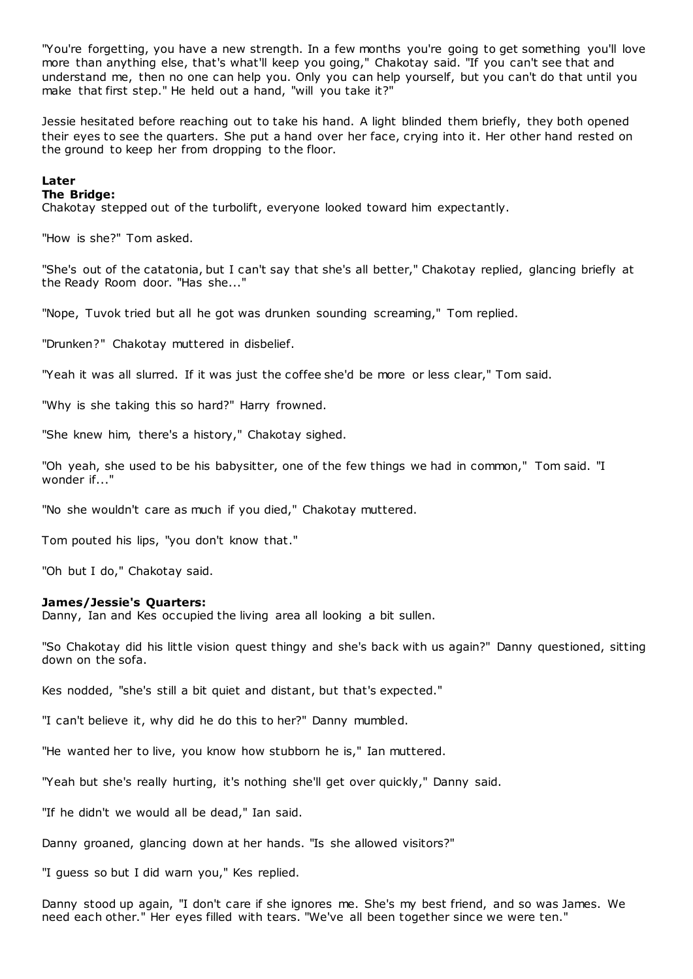"You're forgetting, you have a new strength. In a few months you're going to get something you'll love more than anything else, that's what'll keep you going," Chakotay said. "If you can't see that and understand me, then no one can help you. Only you can help yourself, but you can't do that until you make that first step." He held out a hand, "will you take it?"

Jessie hesitated before reaching out to take his hand. A light blinded them briefly, they both opened their eyes to see the quarters. She put a hand over her face, crying into it. Her other hand rested on the ground to keep her from dropping to the floor.

# **Later**

## **The Bridge:**

Chakotay stepped out of the turbolift, everyone looked toward him expectantly.

"How is she?" Tom asked.

"She's out of the catatonia, but I can't say that she's all better," Chakotay replied, glancing briefly at the Ready Room door. "Has she..."

"Nope, Tuvok tried but all he got was drunken sounding screaming," Tom replied.

"Drunken?" Chakotay muttered in disbelief.

"Yeah it was all slurred. If it was just the coffee she'd be more or less clear," Tom said.

"Why is she taking this so hard?" Harry frowned.

"She knew him, there's a history," Chakotay sighed.

"Oh yeah, she used to be his babysitter, one of the few things we had in common," Tom said. "I wonder if..."

"No she wouldn't care as much if you died," Chakotay muttered.

Tom pouted his lips, "you don't know that."

"Oh but I do," Chakotay said.

## **James/Jessie's Quarters:**

Danny, Ian and Kes occupied the living area all looking a bit sullen.

"So Chakotay did his little vision quest thingy and she's back with us again?" Danny questioned, sitting down on the sofa.

Kes nodded, "she's still a bit quiet and distant, but that's expected."

"I can't believe it, why did he do this to her?" Danny mumbled.

"He wanted her to live, you know how stubborn he is," Ian muttered.

"Yeah but she's really hurting, it's nothing she'll get over quickly," Danny said.

"If he didn't we would all be dead," Ian said.

Danny groaned, glancing down at her hands. "Is she allowed visitors?"

"I guess so but I did warn you," Kes replied.

Danny stood up again, "I don't care if she ignores me. She's my best friend, and so was James. We need each other." Her eyes filled with tears. "We've all been together since we were ten."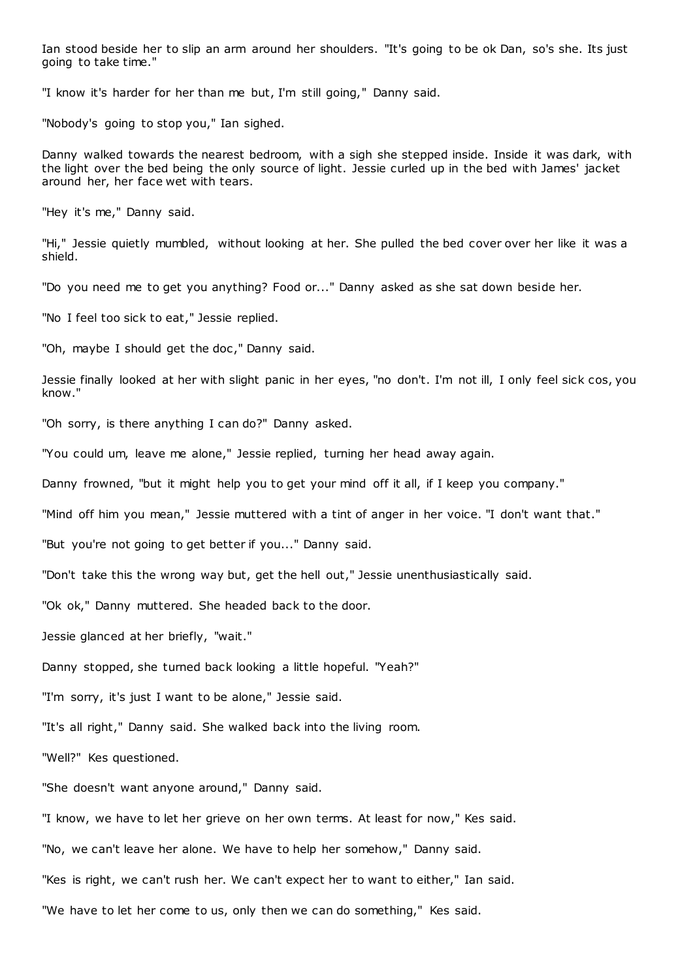Ian stood beside her to slip an arm around her shoulders. "It's going to be ok Dan, so's she. Its just going to take time."

"I know it's harder for her than me but, I'm still going," Danny said.

"Nobody's going to stop you," Ian sighed.

Danny walked towards the nearest bedroom, with a sigh she stepped inside. Inside it was dark, with the light over the bed being the only source of light. Jessie curled up in the bed with James' jacket around her, her face wet with tears.

"Hey it's me," Danny said.

"Hi," Jessie quietly mumbled, without looking at her. She pulled the bed cover over her like it was a shield.

"Do you need me to get you anything? Food or..." Danny asked as she sat down beside her.

"No I feel too sick to eat," Jessie replied.

"Oh, maybe I should get the doc," Danny said.

Jessie finally looked at her with slight panic in her eyes, "no don't. I'm not ill, I only feel sick cos, you know."

"Oh sorry, is there anything I can do?" Danny asked.

"You could um, leave me alone," Jessie replied, turning her head away again.

Danny frowned, "but it might help you to get your mind off it all, if I keep you company."

"Mind off him you mean," Jessie muttered with a tint of anger in her voice. "I don't want that."

"But you're not going to get better if you..." Danny said.

"Don't take this the wrong way but, get the hell out," Jessie unenthusiastically said.

"Ok ok," Danny muttered. She headed back to the door.

Jessie glanced at her briefly, "wait."

Danny stopped, she turned back looking a little hopeful. "Yeah?"

"I'm sorry, it's just I want to be alone," Jessie said.

"It's all right," Danny said. She walked back into the living room.

"Well?" Kes questioned.

"She doesn't want anyone around," Danny said.

"I know, we have to let her grieve on her own terms. At least for now," Kes said.

"No, we can't leave her alone. We have to help her somehow," Danny said.

"Kes is right, we can't rush her. We can't expect her to want to either," Ian said.

"We have to let her come to us, only then we can do something," Kes said.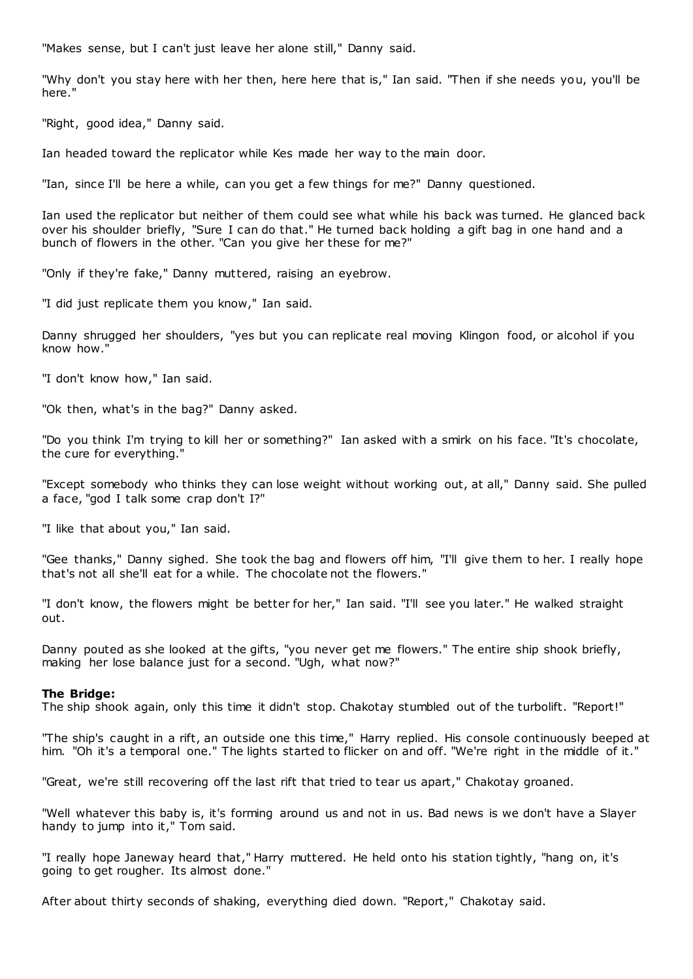"Makes sense, but I can't just leave her alone still," Danny said.

"Why don't you stay here with her then, here here that is," Ian said. "Then if she needs you, you'll be here."

"Right, good idea," Danny said.

Ian headed toward the replicator while Kes made her way to the main door.

"Ian, since I'll be here a while, can you get a few things for me?" Danny questioned.

Ian used the replicator but neither of them could see what while his back was turned. He glanced back over his shoulder briefly, "Sure I can do that." He turned back holding a gift bag in one hand and a bunch of flowers in the other. "Can you give her these for me?"

"Only if they're fake," Danny muttered, raising an eyebrow.

"I did just replicate them you know," Ian said.

Danny shrugged her shoulders, "yes but you can replicate real moving Klingon food, or alcohol if you know how."

"I don't know how," Ian said.

"Ok then, what's in the bag?" Danny asked.

"Do you think I'm trying to kill her or something?" Ian asked with a smirk on his face. "It's chocolate, the cure for everything."

"Except somebody who thinks they can lose weight without working out, at all," Danny said. She pulled a face, "god I talk some crap don't I?"

"I like that about you," Ian said.

"Gee thanks," Danny sighed. She took the bag and flowers off him, "I'll give them to her. I really hope that's not all she'll eat for a while. The chocolate not the flowers."

"I don't know, the flowers might be better for her," Ian said. "I'll see you later." He walked straight out.

Danny pouted as she looked at the gifts, "you never get me flowers." The entire ship shook briefly, making her lose balance just for a second. "Ugh, what now?"

#### **The Bridge:**

The ship shook again, only this time it didn't stop. Chakotay stumbled out of the turbolift. "Report!"

"The ship's caught in a rift, an outside one this time," Harry replied. His console continuously beeped at him. "Oh it's a temporal one." The lights started to flicker on and off. "We're right in the middle of it."

"Great, we're still recovering off the last rift that tried to tear us apart," Chakotay groaned.

"Well whatever this baby is, it's forming around us and not in us. Bad news is we don't have a Slayer handy to jump into it," Tom said.

"I really hope Janeway heard that," Harry muttered. He held onto his station tightly, "hang on, it's going to get rougher. Its almost done."

After about thirty seconds of shaking, everything died down. "Report," Chakotay said.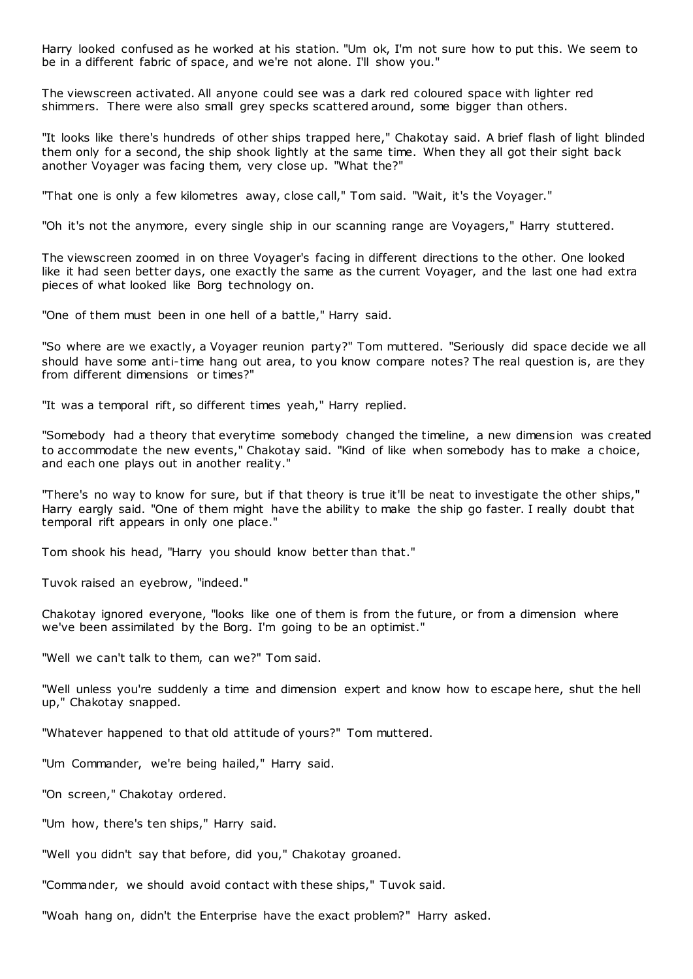Harry looked confused as he worked at his station. "Um ok, I'm not sure how to put this. We seem to be in a different fabric of space, and we're not alone. I'll show you."

The viewscreen activated. All anyone could see was a dark red coloured space with lighter red shimmers. There were also small grey specks scattered around, some bigger than others.

"It looks like there's hundreds of other ships trapped here," Chakotay said. A brief flash of light blinded them only for a second, the ship shook lightly at the same time. When they all got their sight back another Voyager was facing them, very close up. "What the?"

"That one is only a few kilometres away, close call," Tom said. "Wait, it's the Voyager."

"Oh it's not the anymore, every single ship in our scanning range are Voyagers," Harry stuttered.

The viewscreen zoomed in on three Voyager's facing in different directions to the other. One looked like it had seen better days, one exactly the same as the current Voyager, and the last one had extra pieces of what looked like Borg technology on.

"One of them must been in one hell of a battle," Harry said.

"So where are we exactly, a Voyager reunion party?" Tom muttered. "Seriously did space decide we all should have some anti-time hang out area, to you know compare notes? The real question is, are they from different dimensions or times?"

"It was a temporal rift, so different times yeah," Harry replied.

"Somebody had a theory that everytime somebody changed the timeline, a new dimens ion was created to accommodate the new events," Chakotay said. "Kind of like when somebody has to make a choice, and each one plays out in another reality."

"There's no way to know for sure, but if that theory is true it'll be neat to investigate the other ships," Harry eargly said. "One of them might have the ability to make the ship go faster. I really doubt that temporal rift appears in only one place."

Tom shook his head, "Harry you should know better than that."

Tuvok raised an eyebrow, "indeed."

Chakotay ignored everyone, "looks like one of them is from the future, or from a dimension where we've been assimilated by the Borg. I'm going to be an optimist."

"Well we can't talk to them, can we?" Tom said.

"Well unless you're suddenly a time and dimension expert and know how to escape here, shut the hell up," Chakotay snapped.

"Whatever happened to that old attitude of yours?" Tom muttered.

"Um Commander, we're being hailed," Harry said.

"On screen," Chakotay ordered.

"Um how, there's ten ships," Harry said.

"Well you didn't say that before, did you," Chakotay groaned.

"Commander, we should avoid contact with these ships," Tuvok said.

"Woah hang on, didn't the Enterprise have the exact problem?" Harry asked.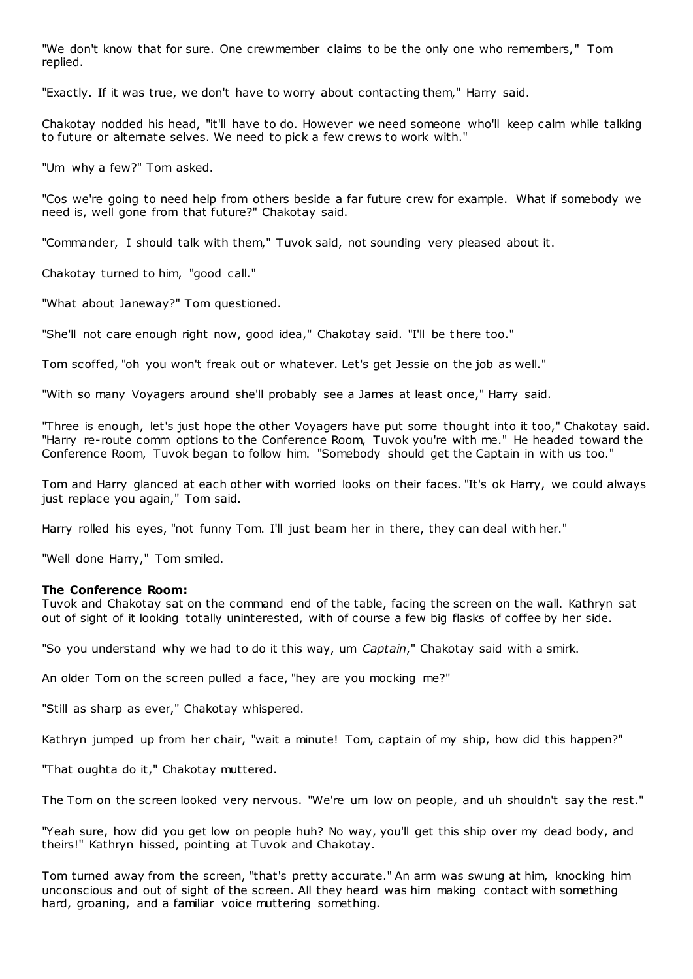"We don't know that for sure. One crewmember claims to be the only one who remembers," Tom replied.

"Exactly. If it was true, we don't have to worry about contacting them," Harry said.

Chakotay nodded his head, "it'll have to do. However we need someone who'll keep calm while talking to future or alternate selves. We need to pick a few crews to work with."

"Um why a few?" Tom asked.

"Cos we're going to need help from others beside a far future crew for example. What if somebody we need is, well gone from that future?" Chakotay said.

"Commander, I should talk with them," Tuvok said, not sounding very pleased about it.

Chakotay turned to him, "good call."

"What about Janeway?" Tom questioned.

"She'll not care enough right now, good idea," Chakotay said. "I'll be there too."

Tom scoffed, "oh you won't freak out or whatever. Let's get Jessie on the job as well."

"With so many Voyagers around she'll probably see a James at least once," Harry said.

"Three is enough, let's just hope the other Voyagers have put some thought into it too," Chakotay said. "Harry re-route comm options to the Conference Room, Tuvok you're with me." He headed toward the Conference Room, Tuvok began to follow him. "Somebody should get the Captain in with us too."

Tom and Harry glanced at each other with worried looks on their faces. "It's ok Harry, we could always just replace you again," Tom said.

Harry rolled his eyes, "not funny Tom. I'll just beam her in there, they can deal with her."

"Well done Harry," Tom smiled.

## **The Conference Room:**

Tuvok and Chakotay sat on the command end of the table, facing the screen on the wall. Kathryn sat out of sight of it looking totally uninterested, with of course a few big flasks of coffee by her side.

"So you understand why we had to do it this way, um *Captain*," Chakotay said with a smirk.

An older Tom on the screen pulled a face, "hey are you mocking me?"

"Still as sharp as ever," Chakotay whispered.

Kathryn jumped up from her chair, "wait a minute! Tom, captain of my ship, how did this happen?"

"That oughta do it," Chakotay muttered.

The Tom on the screen looked very nervous. "We're um low on people, and uh shouldn't say the rest."

"Yeah sure, how did you get low on people huh? No way, you'll get this ship over my dead body, and theirs!" Kathryn hissed, pointing at Tuvok and Chakotay.

Tom turned away from the screen, "that's pretty accurate." An arm was swung at him, knocking him unconscious and out of sight of the screen. All they heard was him making contact with something hard, groaning, and a familiar voice muttering something.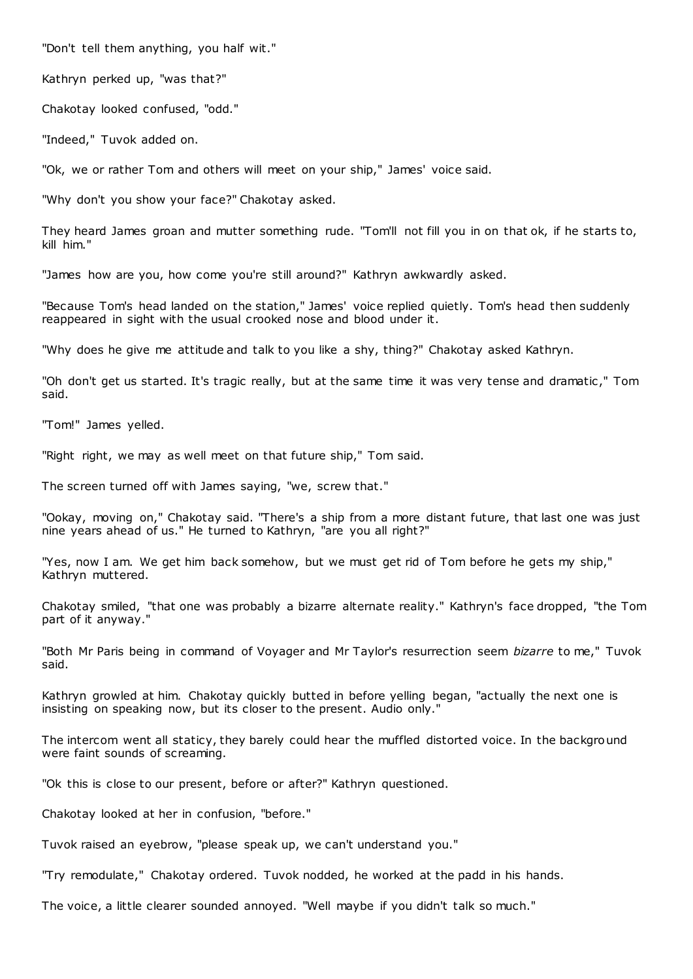"Don't tell them anything, you half wit."

Kathryn perked up, "was that?"

Chakotay looked confused, "odd."

"Indeed," Tuvok added on.

"Ok, we or rather Tom and others will meet on your ship," James' voice said.

"Why don't you show your face?" Chakotay asked.

They heard James groan and mutter something rude. "Tom'll not fill you in on that ok, if he starts to, kill him."

"James how are you, how come you're still around?" Kathryn awkwardly asked.

"Because Tom's head landed on the station," James' voice replied quietly. Tom's head then suddenly reappeared in sight with the usual crooked nose and blood under it.

"Why does he give me attitude and talk to you like a shy, thing?" Chakotay asked Kathryn.

"Oh don't get us started. It's tragic really, but at the same time it was very tense and dramatic ," Tom said.

"Tom!" James yelled.

"Right right, we may as well meet on that future ship," Tom said.

The screen turned off with James saying, "we, screw that."

"Ookay, moving on," Chakotay said. "There's a ship from a more distant future, that last one was just nine years ahead of us." He turned to Kathryn, "are you all right?"

"Yes, now I am. We get him back somehow, but we must get rid of Tom before he gets my ship," Kathryn muttered.

Chakotay smiled, "that one was probably a bizarre alternate reality." Kathryn's face dropped, "the Tom part of it anyway."

"Both Mr Paris being in command of Voyager and Mr Taylor's resurrection seem *bizarre* to me," Tuvok said.

Kathryn growled at him. Chakotay quickly butted in before yelling began, "actually the next one is insisting on speaking now, but its closer to the present. Audio only."

The intercom went all staticy, they barely could hear the muffled distorted voice. In the background were faint sounds of screaming.

"Ok this is close to our present, before or after?" Kathryn questioned.

Chakotay looked at her in confusion, "before."

Tuvok raised an eyebrow, "please speak up, we can't understand you."

"Try remodulate," Chakotay ordered. Tuvok nodded, he worked at the padd in his hands.

The voice, a little clearer sounded annoyed. "Well maybe if you didn't talk so much."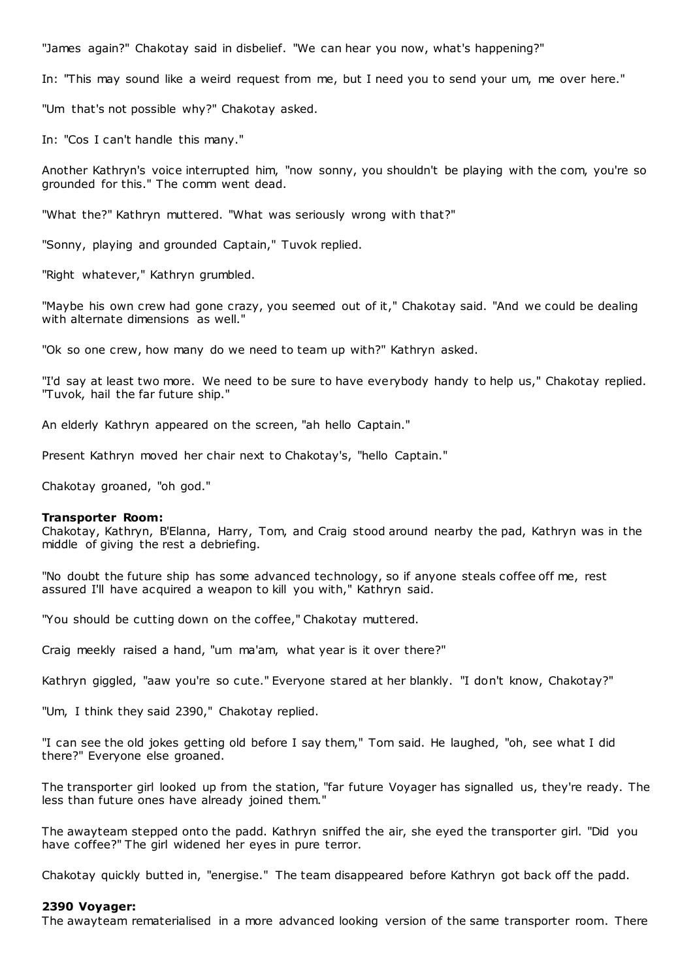"James again?" Chakotay said in disbelief. "We can hear you now, what's happening?"

In: "This may sound like a weird request from me, but I need you to send your um, me over here."

"Um that's not possible why?" Chakotay asked.

In: "Cos I can't handle this many."

Another Kathryn's voice interrupted him, "now sonny, you shouldn't be playing with the com, you're so grounded for this." The comm went dead.

"What the?" Kathryn muttered. "What was seriously wrong with that?"

"Sonny, playing and grounded Captain," Tuvok replied.

"Right whatever," Kathryn grumbled.

"Maybe his own crew had gone crazy, you seemed out of it," Chakotay said. "And we could be dealing with alternate dimensions as well."

"Ok so one crew, how many do we need to team up with?" Kathryn asked.

"I'd say at least two more. We need to be sure to have everybody handy to help us," Chakotay replied. "Tuvok, hail the far future ship."

An elderly Kathryn appeared on the screen, "ah hello Captain."

Present Kathryn moved her chair next to Chakotay's, "hello Captain."

Chakotay groaned, "oh god."

#### **Transporter Room:**

Chakotay, Kathryn, B'Elanna, Harry, Tom, and Craig stood around nearby the pad, Kathryn was in the middle of giving the rest a debriefing.

"No doubt the future ship has some advanced technology, so if anyone steals coffee off me, rest assured I'll have acquired a weapon to kill you with," Kathryn said.

"You should be cutting down on the coffee," Chakotay muttered.

Craig meekly raised a hand, "um ma'am, what year is it over there?"

Kathryn giggled, "aaw you're so cute." Everyone stared at her blankly. "I don't know, Chakotay?"

"Um, I think they said 2390," Chakotay replied.

"I can see the old jokes getting old before I say them," Tom said. He laughed, "oh, see what I did there?" Everyone else groaned.

The transporter girl looked up from the station, "far future Voyager has signalled us, they're ready. The less than future ones have already joined them."

The awayteam stepped onto the padd. Kathryn sniffed the air, she eyed the transporter girl. "Did you have coffee?" The girl widened her eyes in pure terror.

Chakotay quickly butted in, "energise." The team disappeared before Kathryn got back off the padd.

#### **2390 Voyager:**

The awayteam rematerialised in a more advanced looking version of the same transporter room. There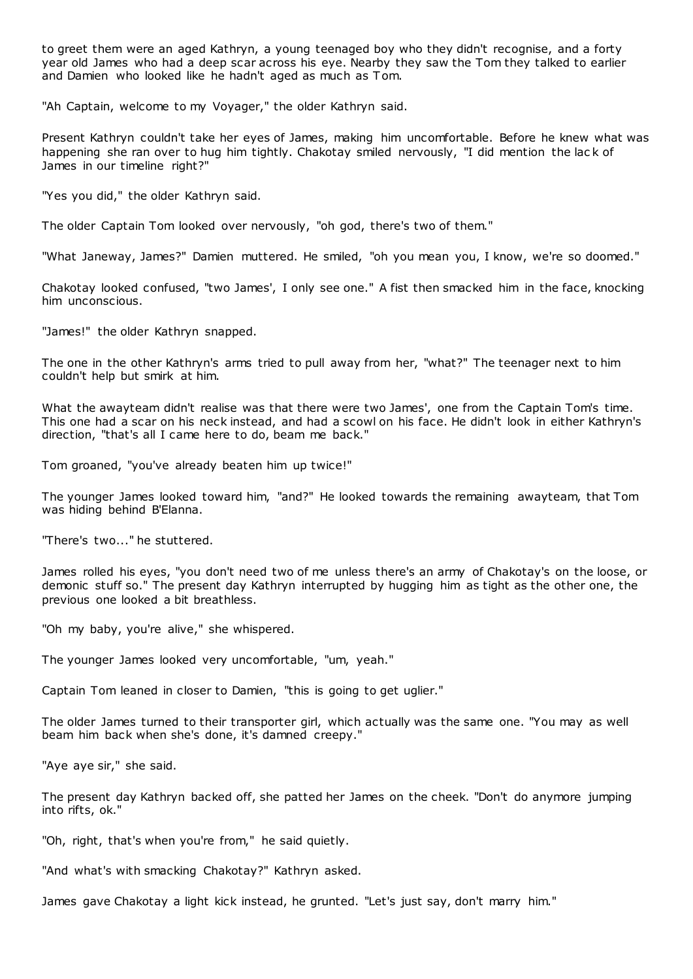to greet them were an aged Kathryn, a young teenaged boy who they didn't recognise, and a forty year old James who had a deep scar across his eye. Nearby they saw the Tom they talked to earlier and Damien who looked like he hadn't aged as much as Tom.

"Ah Captain, welcome to my Voyager," the older Kathryn said.

Present Kathryn couldn't take her eyes of James, making him uncomfortable. Before he knew what was happening she ran over to hug him tightly. Chakotay smiled nervously, "I did mention the lack of James in our timeline right?"

"Yes you did," the older Kathryn said.

The older Captain Tom looked over nervously, "oh god, there's two of them."

"What Janeway, James?" Damien muttered. He smiled, "oh you mean you, I know, we're so doomed."

Chakotay looked confused, "two James', I only see one." A fist then smacked him in the face, knocking him unconscious.

"James!" the older Kathryn snapped.

The one in the other Kathryn's arms tried to pull away from her, "what?" The teenager next to him couldn't help but smirk at him.

What the awayteam didn't realise was that there were two James', one from the Captain Tom's time. This one had a scar on his neck instead, and had a scowl on his face. He didn't look in either Kathryn's direction, "that's all I came here to do, beam me back."

Tom groaned, "you've already beaten him up twice!"

The younger James looked toward him, "and?" He looked towards the remaining awayteam, that Tom was hiding behind B'Elanna.

"There's two..." he stuttered.

James rolled his eyes, "you don't need two of me unless there's an army of Chakotay's on the loose, or demonic stuff so." The present day Kathryn interrupted by hugging him as tight as the other one, the previous one looked a bit breathless.

"Oh my baby, you're alive," she whispered.

The younger James looked very uncomfortable, "um, yeah."

Captain Tom leaned in closer to Damien, "this is going to get uglier."

The older James turned to their transporter girl, which actually was the same one. "You may as well beam him back when she's done, it's damned creepy."

"Aye aye sir," she said.

The present day Kathryn backed off, she patted her James on the cheek. "Don't do anymore jumping into rifts, ok."

"Oh, right, that's when you're from," he said quietly.

"And what's with smacking Chakotay?" Kathryn asked.

James gave Chakotay a light kick instead, he grunted. "Let's just say, don't marry him."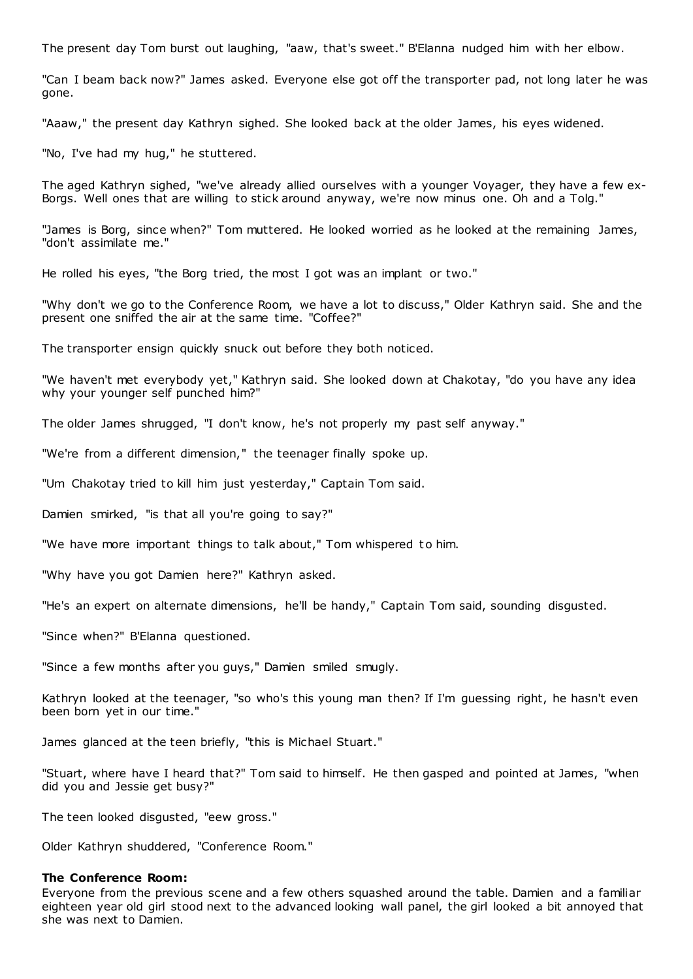The present day Tom burst out laughing, "aaw, that's sweet." B'Elanna nudged him with her elbow.

"Can I beam back now?" James asked. Everyone else got off the transporter pad, not long later he was gone.

"Aaaw," the present day Kathryn sighed. She looked back at the older James, his eyes widened.

"No, I've had my hug," he stuttered.

The aged Kathryn sighed, "we've already allied ourselves with a younger Voyager, they have a few ex-Borgs. Well ones that are willing to stick around anyway, we're now minus one. Oh and a Tolg."

"James is Borg, since when?" Tom muttered. He looked worried as he looked at the remaining James, "don't assimilate me."

He rolled his eyes, "the Borg tried, the most I got was an implant or two."

"Why don't we go to the Conference Room, we have a lot to discuss," Older Kathryn said. She and the present one sniffed the air at the same time. "Coffee?"

The transporter ensign quickly snuck out before they both noticed.

"We haven't met everybody yet," Kathryn said. She looked down at Chakotay, "do you have any idea why your younger self punched him?"

The older James shrugged, "I don't know, he's not properly my past self anyway."

"We're from a different dimension," the teenager finally spoke up.

"Um Chakotay tried to kill him just yesterday," Captain Tom said.

Damien smirked, "is that all you're going to say?"

"We have more important things to talk about," Tom whispered to him.

"Why have you got Damien here?" Kathryn asked.

"He's an expert on alternate dimensions, he'll be handy," Captain Tom said, sounding disgusted.

"Since when?" B'Elanna questioned.

"Since a few months after you guys," Damien smiled smugly.

Kathryn looked at the teenager, "so who's this young man then? If I'm guessing right, he hasn't even been born yet in our time."

James glanced at the teen briefly, "this is Michael Stuart."

"Stuart, where have I heard that?" Tom said to himself. He then gasped and pointed at James, "when did you and Jessie get busy?"

The teen looked disgusted, "eew gross."

Older Kathryn shuddered, "Conference Room."

#### **The Conference Room:**

Everyone from the previous scene and a few others squashed around the table. Damien and a familiar eighteen year old girl stood next to the advanced looking wall panel, the girl looked a bit annoyed that she was next to Damien.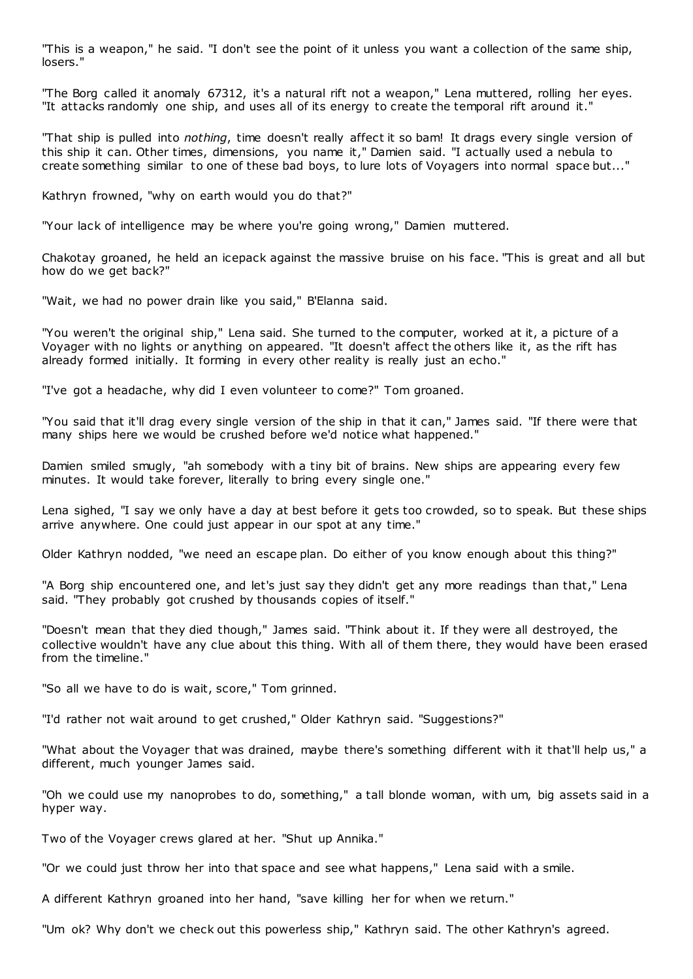"This is a weapon," he said. "I don't see the point of it unless you want a collection of the same ship, losers."

"The Borg called it anomaly 67312, it's a natural rift not a weapon," Lena muttered, rolling her eyes. "It attacks randomly one ship, and uses all of its energy to create the temporal rift around it."

"That ship is pulled into *nothing*, time doesn't really affect it so bam! It drags every single version of this ship it can. Other times, dimensions, you name it," Damien said. "I actually used a nebula to create something similar to one of these bad boys, to lure lots of Voyagers into normal space but..."

Kathryn frowned, "why on earth would you do that?"

"Your lack of intelligence may be where you're going wrong," Damien muttered.

Chakotay groaned, he held an icepack against the massive bruise on his face. "This is great and all but how do we get back?"

"Wait, we had no power drain like you said," B'Elanna said.

"You weren't the original ship," Lena said. She turned to the computer, worked at it, a picture of a Voyager with no lights or anything on appeared. "It doesn't affect the others like it, as the rift has already formed initially. It forming in every other reality is really just an echo."

"I've got a headache, why did I even volunteer to come?" Tom groaned.

"You said that it'll drag every single version of the ship in that it can," James said. "If there were that many ships here we would be crushed before we'd notice what happened."

Damien smiled smugly, "ah somebody with a tiny bit of brains. New ships are appearing every few minutes. It would take forever, literally to bring every single one."

Lena sighed, "I say we only have a day at best before it gets too crowded, so to speak. But these ships arrive anywhere. One could just appear in our spot at any time."

Older Kathryn nodded, "we need an escape plan. Do either of you know enough about this thing?"

"A Borg ship encountered one, and let's just say they didn't get any more readings than that," Lena said. "They probably got crushed by thousands copies of itself."

"Doesn't mean that they died though," James said. "Think about it. If they were all destroyed, the collective wouldn't have any clue about this thing. With all of them there, they would have been erased from the timeline."

"So all we have to do is wait, score," Tom grinned.

"I'd rather not wait around to get crushed," Older Kathryn said. "Suggestions?"

"What about the Voyager that was drained, maybe there's something different with it that'll help us," a different, much younger James said.

"Oh we could use my nanoprobes to do, something," a tall blonde woman, with um, big assets said in a hyper way.

Two of the Voyager crews glared at her. "Shut up Annika."

"Or we could just throw her into that space and see what happens," Lena said with a smile.

A different Kathryn groaned into her hand, "save killing her for when we return."

"Um ok? Why don't we check out this powerless ship," Kathryn said. The other Kathryn's agreed.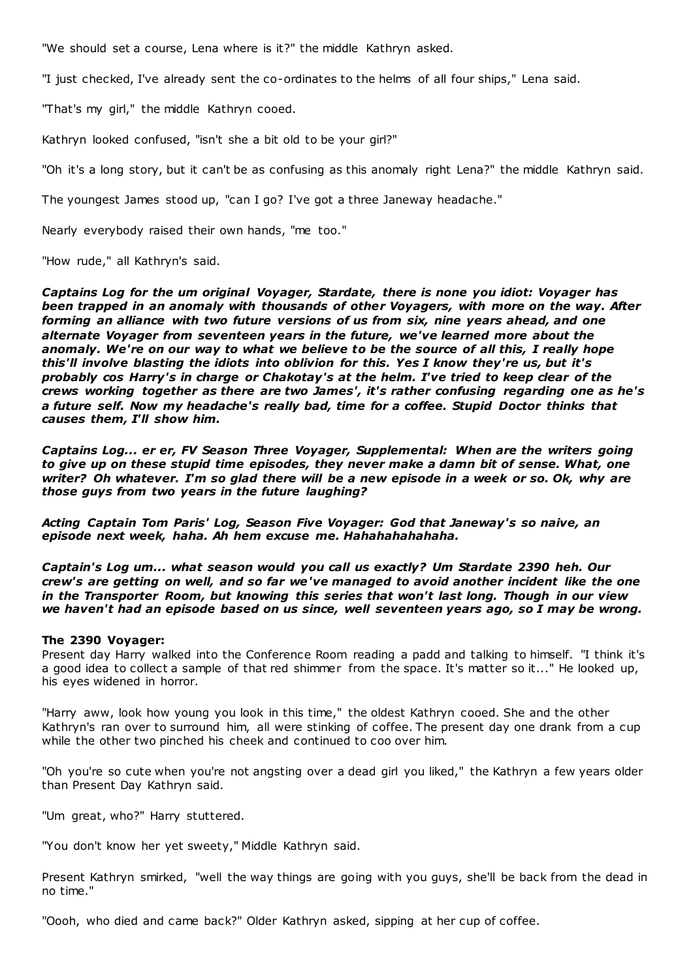"We should set a course, Lena where is it?" the middle Kathryn asked.

"I just checked, I've already sent the co-ordinates to the helms of all four ships," Lena said.

"That's my girl," the middle Kathryn cooed.

Kathryn looked confused, "isn't she a bit old to be your girl?"

"Oh it's a long story, but it can't be as confusing as this anomaly right Lena?" the middle Kathryn said.

The youngest James stood up, "can I go? I've got a three Janeway headache."

Nearly everybody raised their own hands, "me too."

"How rude," all Kathryn's said.

*Captains Log for the um original Voyager, Stardate, there is none you idiot: Voyager has been trapped in an anomaly with thousands of other Voyagers, with more on the way. After forming an alliance with two future versions of us from six, nine years ahead, and one alternate Voyager from seventeen years in the future, we've learned more about the anomaly. We're on our way to what we believe to be the source of all this, I really hope this'll involve blasting the idiots into oblivion for this. Yes I know they're us, but it's probably cos Harry's in charge or Chakotay's at the helm. I've tried to keep clear of the crews working together as there are two James', it's rather confusing regarding one as he's a future self. Now my headache's really bad, time for a coffee. Stupid Doctor thinks that causes them, I'll show him.*

*Captains Log... er er, FV Season Three Voyager, Supplemental: When are the writers going to give up on these stupid time episodes, they never make a damn bit of sense. What, one writer? Oh whatever. I'm so glad there will be a new episode in a week or so. Ok, why are those guys from two years in the future laughing?*

*Acting Captain Tom Paris' Log, Season Five Voyager: God that Janeway's so naive, an episode next week, haha. Ah hem excuse me. Hahahahahahaha.*

*Captain's Log um... what season would you call us exactly? Um Stardate 2390 heh. Our crew's are getting on well, and so far we've managed to avoid another incident like the one in the Transporter Room, but knowing this series that won't last long. Though in our view we haven't had an episode based on us since, well seventeen years ago, so I may be wrong.*

## **The 2390 Voyager:**

Present day Harry walked into the Conference Room reading a padd and talking to himself. "I think it's a good idea to collect a sample of that red shimmer from the space. It's matter so it..." He looked up, his eyes widened in horror.

"Harry aww, look how young you look in this time," the oldest Kathryn cooed. She and the other Kathryn's ran over to surround him, all were stinking of coffee. The present day one drank from a cup while the other two pinched his cheek and continued to coo over him.

"Oh you're so cute when you're not angsting over a dead girl you liked," the Kathryn a few years older than Present Day Kathryn said.

"Um great, who?" Harry stuttered.

"You don't know her yet sweety," Middle Kathryn said.

Present Kathryn smirked, "well the way things are going with you guys, she'll be back from the dead in no time."

"Oooh, who died and came back?" Older Kathryn asked, sipping at her cup of coffee.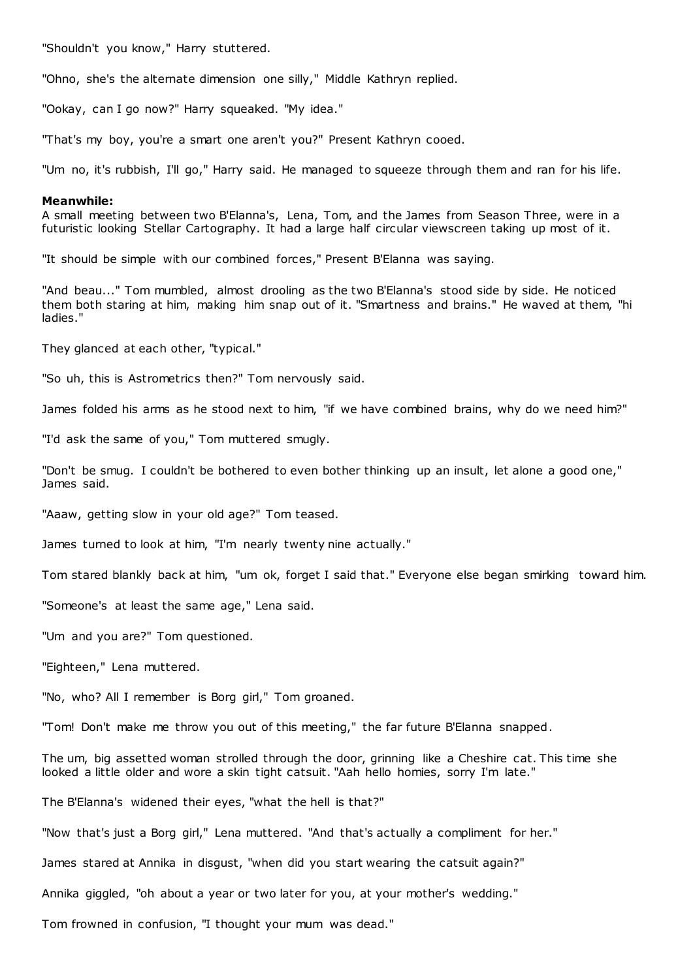"Shouldn't you know," Harry stuttered.

"Ohno, she's the alternate dimension one silly," Middle Kathryn replied.

"Ookay, can I go now?" Harry squeaked. "My idea."

"That's my boy, you're a smart one aren't you?" Present Kathryn cooed.

"Um no, it's rubbish, I'll go," Harry said. He managed to squeeze through them and ran for his life.

#### **Meanwhile:**

A small meeting between two B'Elanna's, Lena, Tom, and the James from Season Three, were in a futuristic looking Stellar Cartography. It had a large half circular viewscreen taking up most of it.

"It should be simple with our combined forces," Present B'Elanna was saying.

"And beau..." Tom mumbled, almost drooling as the two B'Elanna's stood side by side. He noticed them both staring at him, making him snap out of it. "Smartness and brains." He waved at them, "hi ladies."

They glanced at each other, "typical."

"So uh, this is Astrometrics then?" Tom nervously said.

James folded his arms as he stood next to him, "if we have combined brains, why do we need him?"

"I'd ask the same of you," Tom muttered smugly.

"Don't be smug. I couldn't be bothered to even bother thinking up an insult, let alone a good one," James said.

"Aaaw, getting slow in your old age?" Tom teased.

James turned to look at him, "I'm nearly twenty nine actually."

Tom stared blankly back at him, "um ok, forget I said that." Everyone else began smirking toward him.

"Someone's at least the same age," Lena said.

"Um and you are?" Tom questioned.

"Eighteen," Lena muttered.

"No, who? All I remember is Borg girl," Tom groaned.

"Tom! Don't make me throw you out of this meeting," the far future B'Elanna snapped.

The um, big assetted woman strolled through the door, grinning like a Cheshire cat. This time she looked a little older and wore a skin tight catsuit. "Aah hello homies, sorry I'm late."

The B'Elanna's widened their eyes, "what the hell is that?"

"Now that's just a Borg girl," Lena muttered. "And that's actually a compliment for her."

James stared at Annika in disgust, "when did you start wearing the catsuit again?"

Annika giggled, "oh about a year or two later for you, at your mother's wedding."

Tom frowned in confusion, "I thought your mum was dead."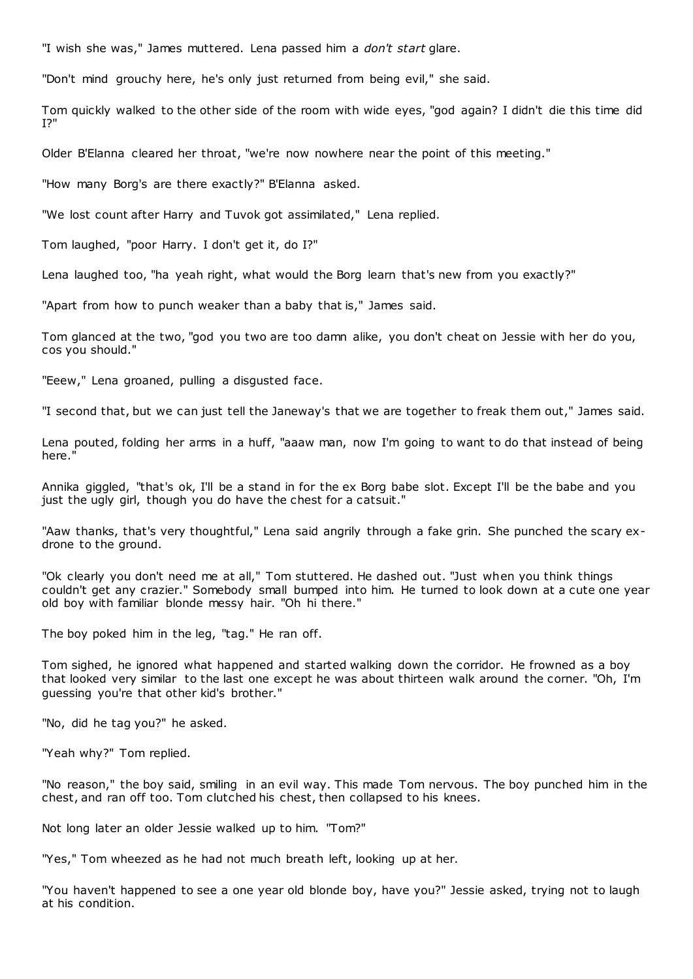"I wish she was," James muttered. Lena passed him a *don't start* glare.

"Don't mind grouchy here, he's only just returned from being evil," she said.

Tom quickly walked to the other side of the room with wide eyes, "god again? I didn't die this time did I?"

Older B'Elanna cleared her throat, "we're now nowhere near the point of this meeting."

"How many Borg's are there exactly?" B'Elanna asked.

"We lost count after Harry and Tuvok got assimilated," Lena replied.

Tom laughed, "poor Harry. I don't get it, do I?"

Lena laughed too, "ha yeah right, what would the Borg learn that's new from you exactly?"

"Apart from how to punch weaker than a baby that is," James said.

Tom glanced at the two, "god you two are too damn alike, you don't cheat on Jessie with her do you, cos you should."

"Eeew," Lena groaned, pulling a disgusted face.

"I second that, but we can just tell the Janeway's that we are together to freak them out," James said.

Lena pouted, folding her arms in a huff, "aaaw man, now I'm going to want to do that instead of being here."

Annika giggled, "that's ok, I'll be a stand in for the ex Borg babe slot. Except I'll be the babe and you just the ugly girl, though you do have the chest for a catsuit."

"Aaw thanks, that's very thoughtful," Lena said angrily through a fake grin. She punched the scary exdrone to the ground.

"Ok clearly you don't need me at all," Tom stuttered. He dashed out. "Just when you think things couldn't get any crazier." Somebody small bumped into him. He turned to look down at a cute one year old boy with familiar blonde messy hair. "Oh hi there."

The boy poked him in the leg, "tag." He ran off.

Tom sighed, he ignored what happened and started walking down the corridor. He frowned as a boy that looked very similar to the last one except he was about thirteen walk around the corner. "Oh, I'm guessing you're that other kid's brother."

"No, did he tag you?" he asked.

"Yeah why?" Tom replied.

"No reason," the boy said, smiling in an evil way. This made Tom nervous. The boy punched him in the chest, and ran off too. Tom clutched his chest, then collapsed to his knees.

Not long later an older Jessie walked up to him. "Tom?"

"Yes," Tom wheezed as he had not much breath left, looking up at her.

"You haven't happened to see a one year old blonde boy, have you?" Jessie asked, trying not to laugh at his condition.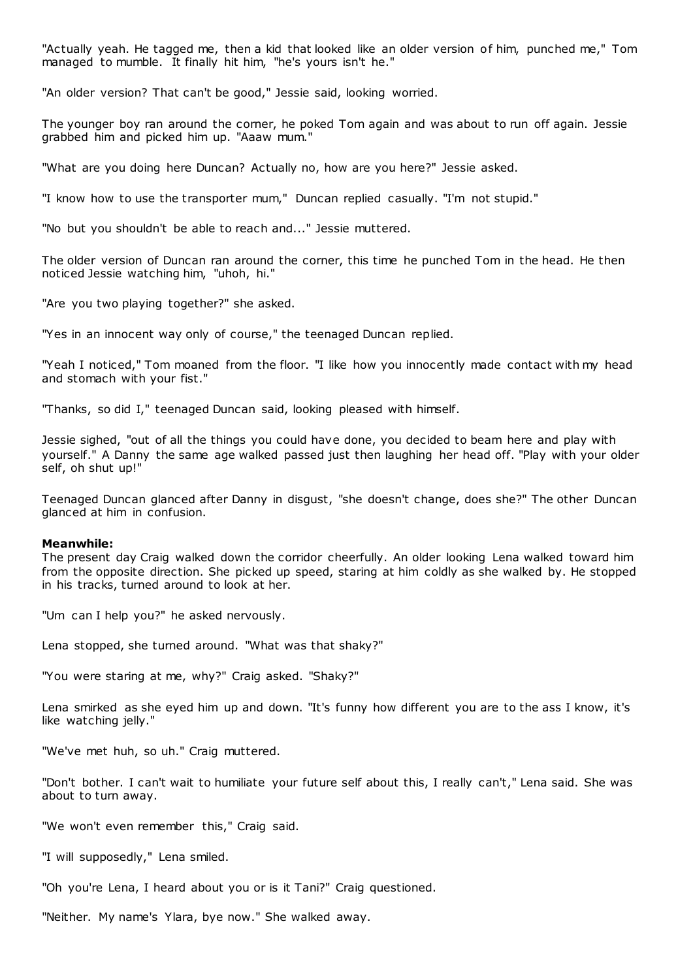"Actually yeah. He tagged me, then a kid that looked like an older version of him, punched me," Tom managed to mumble. It finally hit him, "he's yours isn't he."

"An older version? That can't be good," Jessie said, looking worried.

The younger boy ran around the corner, he poked Tom again and was about to run off again. Jessie grabbed him and picked him up. "Aaaw mum."

"What are you doing here Duncan? Actually no, how are you here?" Jessie asked.

"I know how to use the transporter mum," Duncan replied casually. "I'm not stupid."

"No but you shouldn't be able to reach and..." Jessie muttered.

The older version of Duncan ran around the corner, this time he punched Tom in the head. He then noticed Jessie watching him, "uhoh, hi."

"Are you two playing together?" she asked.

"Yes in an innocent way only of course," the teenaged Duncan replied.

"Yeah I noticed," Tom moaned from the floor. "I like how you innocently made contact with my head and stomach with your fist."

"Thanks, so did I," teenaged Duncan said, looking pleased with himself.

Jessie sighed, "out of all the things you could have done, you decided to beam here and play with yourself." A Danny the same age walked passed just then laughing her head off. "Play with your older self, oh shut up!"

Teenaged Duncan glanced after Danny in disgust, "she doesn't change, does she?" The other Duncan glanced at him in confusion.

#### **Meanwhile:**

The present day Craig walked down the corridor cheerfully. An older looking Lena walked toward him from the opposite direction. She picked up speed, staring at him coldly as she walked by. He stopped in his tracks, turned around to look at her.

"Um can I help you?" he asked nervously.

Lena stopped, she turned around. "What was that shaky?"

"You were staring at me, why?" Craig asked. "Shaky?"

Lena smirked as she eyed him up and down. "It's funny how different you are to the ass I know, it's like watching jelly."

"We've met huh, so uh." Craig muttered.

"Don't bother. I can't wait to humiliate your future self about this, I really can't," Lena said. She was about to turn away.

"We won't even remember this," Craig said.

"I will supposedly," Lena smiled.

"Oh you're Lena, I heard about you or is it Tani?" Craig questioned.

"Neither. My name's Ylara, bye now." She walked away.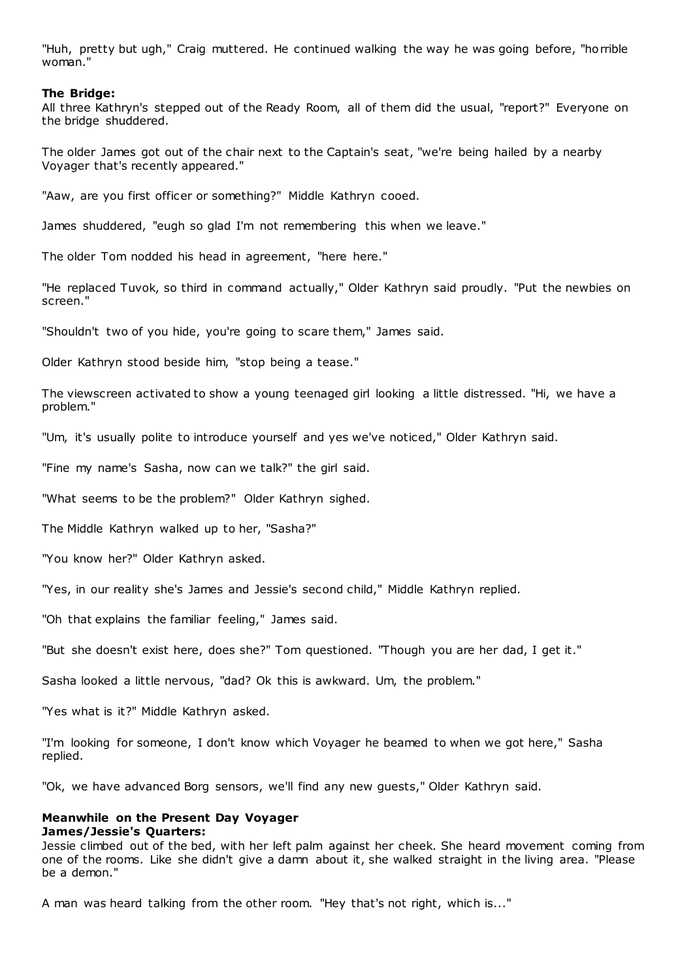"Huh, pretty but ugh," Craig muttered. He continued walking the way he was going before, "horrible woman."

## **The Bridge:**

All three Kathryn's stepped out of the Ready Room, all of them did the usual, "report?" Everyone on the bridge shuddered.

The older James got out of the chair next to the Captain's seat, "we're being hailed by a nearby Voyager that's recently appeared."

"Aaw, are you first officer or something?" Middle Kathryn cooed.

James shuddered, "eugh so glad I'm not remembering this when we leave."

The older Tom nodded his head in agreement, "here here."

"He replaced Tuvok, so third in command actually," Older Kathryn said proudly. "Put the newbies on screen."

"Shouldn't two of you hide, you're going to scare them," James said.

Older Kathryn stood beside him, "stop being a tease."

The viewscreen activated to show a young teenaged girl looking a little distressed. "Hi, we have a problem."

"Um, it's usually polite to introduce yourself and yes we've noticed," Older Kathryn said.

"Fine my name's Sasha, now can we talk?" the girl said.

"What seems to be the problem?" Older Kathryn sighed.

The Middle Kathryn walked up to her, "Sasha?"

"You know her?" Older Kathryn asked.

"Yes, in our reality she's James and Jessie's second child," Middle Kathryn replied.

"Oh that explains the familiar feeling," James said.

"But she doesn't exist here, does she?" Tom questioned. "Though you are her dad, I get it."

Sasha looked a little nervous, "dad? Ok this is awkward. Um, the problem."

"Yes what is it?" Middle Kathryn asked.

"I'm looking for someone, I don't know which Voyager he beamed to when we got here," Sasha replied.

"Ok, we have advanced Borg sensors, we'll find any new guests," Older Kathryn said.

#### **Meanwhile on the Present Day Voyager James/Jessie's Quarters:**

Jessie climbed out of the bed, with her left palm against her cheek. She heard movement coming from one of the rooms. Like she didn't give a damn about it, she walked straight in the living area. "Please be a demon."

A man was heard talking from the other room. "Hey that's not right, which is..."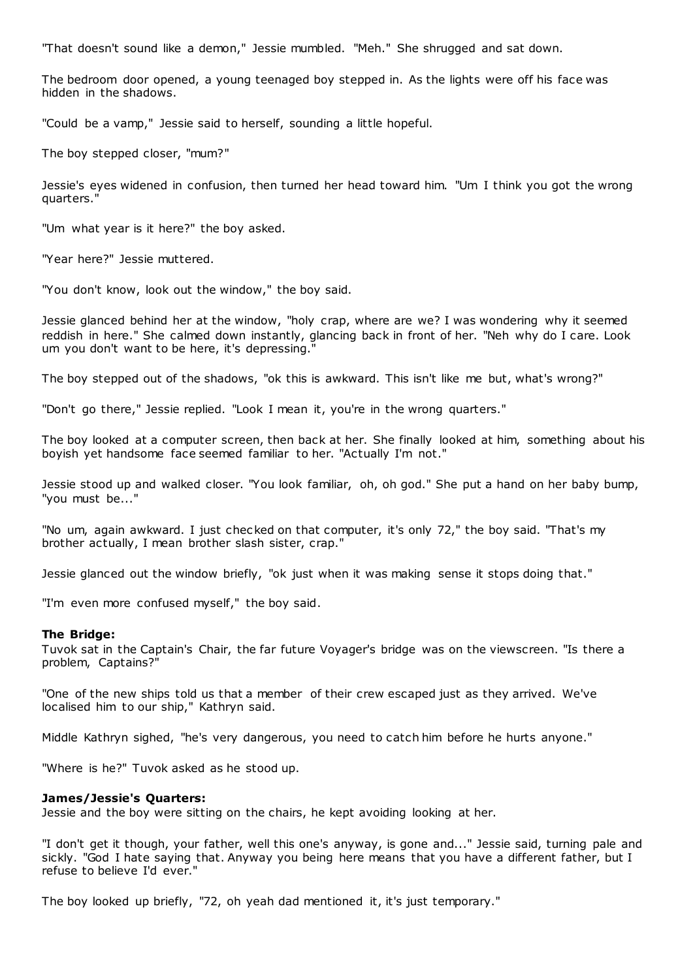"That doesn't sound like a demon," Jessie mumbled. "Meh." She shrugged and sat down.

The bedroom door opened, a young teenaged boy stepped in. As the lights were off his face was hidden in the shadows.

"Could be a vamp," Jessie said to herself, sounding a little hopeful.

The boy stepped closer, "mum?"

Jessie's eyes widened in confusion, then turned her head toward him. "Um I think you got the wrong quarters."

"Um what year is it here?" the boy asked.

"Year here?" Jessie muttered.

"You don't know, look out the window," the boy said.

Jessie glanced behind her at the window, "holy crap, where are we? I was wondering why it seemed reddish in here." She calmed down instantly, glancing back in front of her. "Neh why do I care. Look um you don't want to be here, it's depressing."

The boy stepped out of the shadows, "ok this is awkward. This isn't like me but, what's wrong?"

"Don't go there," Jessie replied. "Look I mean it, you're in the wrong quarters."

The boy looked at a computer screen, then back at her. She finally looked at him, something about his boyish yet handsome face seemed familiar to her. "Actually I'm not."

Jessie stood up and walked closer. "You look familiar, oh, oh god." She put a hand on her baby bump, "you must be..."

"No um, again awkward. I just checked on that computer, it's only 72," the boy said. "That's my brother actually, I mean brother slash sister, crap."

Jessie glanced out the window briefly, "ok just when it was making sense it stops doing that."

"I'm even more confused myself," the boy said.

#### **The Bridge:**

Tuvok sat in the Captain's Chair, the far future Voyager's bridge was on the viewscreen. "Is there a problem, Captains?"

"One of the new ships told us that a member of their crew escaped just as they arrived. We've localised him to our ship," Kathryn said.

Middle Kathryn sighed, "he's very dangerous, you need to catch him before he hurts anyone."

"Where is he?" Tuvok asked as he stood up.

#### **James/Jessie's Quarters:**

Jessie and the boy were sitting on the chairs, he kept avoiding looking at her.

"I don't get it though, your father, well this one's anyway, is gone and..." Jessie said, turning pale and sickly. "God I hate saying that. Anyway you being here means that you have a different father, but I refuse to believe I'd ever."

The boy looked up briefly, "72, oh yeah dad mentioned it, it's just temporary."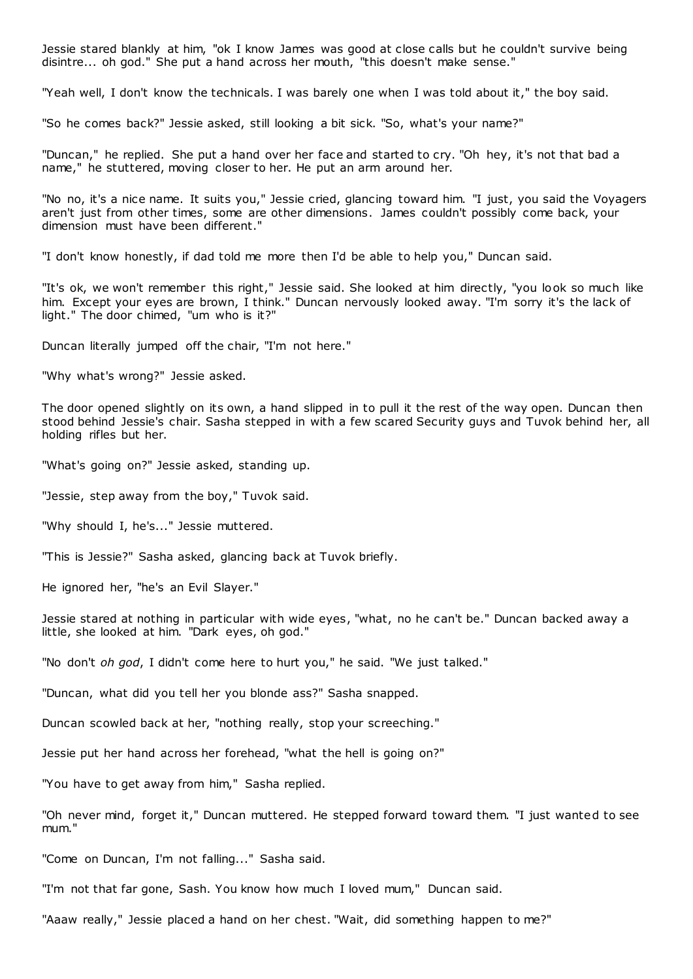Jessie stared blankly at him, "ok I know James was good at close calls but he couldn't survive being disintre... oh god." She put a hand across her mouth, "this doesn't make sense."

"Yeah well, I don't know the technicals. I was barely one when I was told about it," the boy said.

"So he comes back?" Jessie asked, still looking a bit sick. "So, what's your name?"

"Duncan," he replied. She put a hand over her face and started to cry. "Oh hey, it's not that bad a name," he stuttered, moving closer to her. He put an arm around her.

"No no, it's a nice name. It suits you," Jessie cried, glancing toward him. "I just, you said the Voyagers aren't just from other times, some are other dimensions. James couldn't possibly come back, your dimension must have been different."

"I don't know honestly, if dad told me more then I'd be able to help you," Duncan said.

"It's ok, we won't remember this right," Jessie said. She looked at him directly, "you look so much like him. Except your eyes are brown, I think." Duncan nervously looked away. "I'm sorry it's the lack of light." The door chimed, "um who is it?"

Duncan literally jumped off the chair, "I'm not here."

"Why what's wrong?" Jessie asked.

The door opened slightly on its own, a hand slipped in to pull it the rest of the way open. Duncan then stood behind Jessie's chair. Sasha stepped in with a few scared Security guys and Tuvok behind her, all holding rifles but her.

"What's going on?" Jessie asked, standing up.

"Jessie, step away from the boy," Tuvok said.

"Why should I, he's..." Jessie muttered.

"This is Jessie?" Sasha asked, glancing back at Tuvok briefly.

He ignored her, "he's an Evil Slayer."

Jessie stared at nothing in particular with wide eyes, "what, no he can't be." Duncan backed away a little, she looked at him. "Dark eyes, oh god."

"No don't *oh god*, I didn't come here to hurt you," he said. "We just talked."

"Duncan, what did you tell her you blonde ass?" Sasha snapped.

Duncan scowled back at her, "nothing really, stop your screeching."

Jessie put her hand across her forehead, "what the hell is going on?"

"You have to get away from him," Sasha replied.

"Oh never mind, forget it," Duncan muttered. He stepped forward toward them. "I just wanted to see mum."

"Come on Duncan, I'm not falling..." Sasha said.

"I'm not that far gone, Sash. You know how much I loved mum," Duncan said.

"Aaaw really," Jessie placed a hand on her chest. "Wait, did something happen to me?"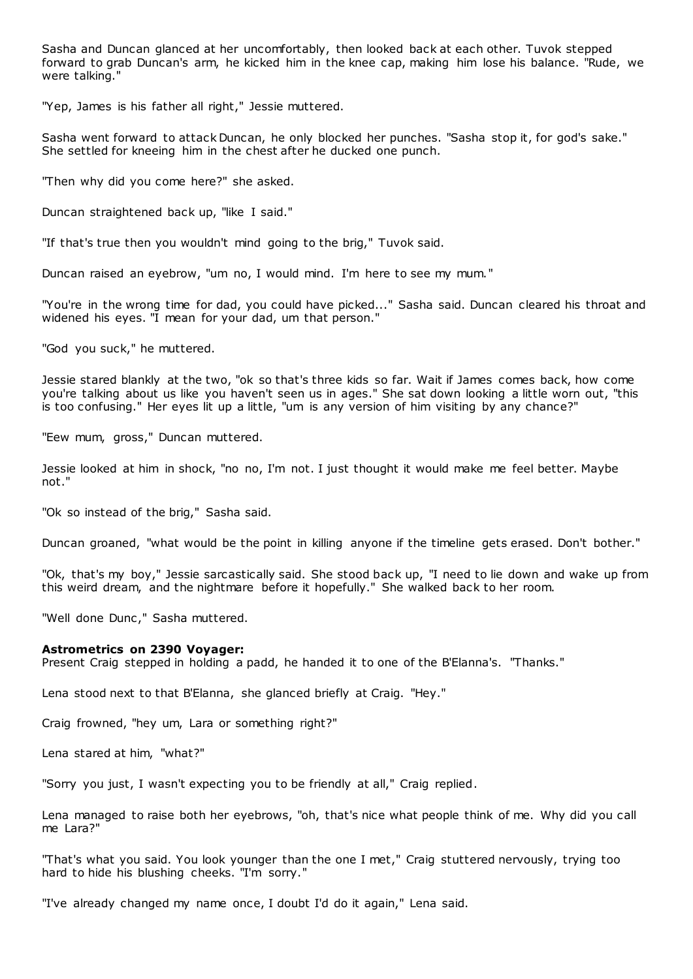Sasha and Duncan glanced at her uncomfortably, then looked back at each other. Tuvok stepped forward to grab Duncan's arm, he kicked him in the knee cap, making him lose his balance. "Rude, we were talking."

"Yep, James is his father all right," Jessie muttered.

Sasha went forward to attack Duncan, he only blocked her punches. "Sasha stop it, for god's sake." She settled for kneeing him in the chest after he ducked one punch.

"Then why did you come here?" she asked.

Duncan straightened back up, "like I said."

"If that's true then you wouldn't mind going to the brig," Tuvok said.

Duncan raised an eyebrow, "um no, I would mind. I'm here to see my mum."

"You're in the wrong time for dad, you could have picked..." Sasha said. Duncan cleared his throat and widened his eyes. "I mean for your dad, um that person."

"God you suck," he muttered.

Jessie stared blankly at the two, "ok so that's three kids so far. Wait if James comes back, how come you're talking about us like you haven't seen us in ages." She sat down looking a little worn out, "this is too confusing." Her eyes lit up a little, "um is any version of him visiting by any chance?"

"Eew mum, gross," Duncan muttered.

Jessie looked at him in shock, "no no, I'm not. I just thought it would make me feel better. Maybe not."

"Ok so instead of the brig," Sasha said.

Duncan groaned, "what would be the point in killing anyone if the timeline gets erased. Don't bother."

"Ok, that's my boy," Jessie sarcastically said. She stood back up, "I need to lie down and wake up from this weird dream, and the nightmare before it hopefully." She walked back to her room.

"Well done Dunc ," Sasha muttered.

#### **Astrometrics on 2390 Voyager:**

Present Craig stepped in holding a padd, he handed it to one of the B'Elanna's. "Thanks."

Lena stood next to that B'Elanna, she glanced briefly at Craig. "Hey."

Craig frowned, "hey um, Lara or something right?"

Lena stared at him, "what?"

"Sorry you just, I wasn't expecting you to be friendly at all," Craig replied.

Lena managed to raise both her eyebrows, "oh, that's nice what people think of me. Why did you call me Lara?"

"That's what you said. You look younger than the one I met," Craig stuttered nervously, trying too hard to hide his blushing cheeks. "I'm sorry."

"I've already changed my name once, I doubt I'd do it again," Lena said.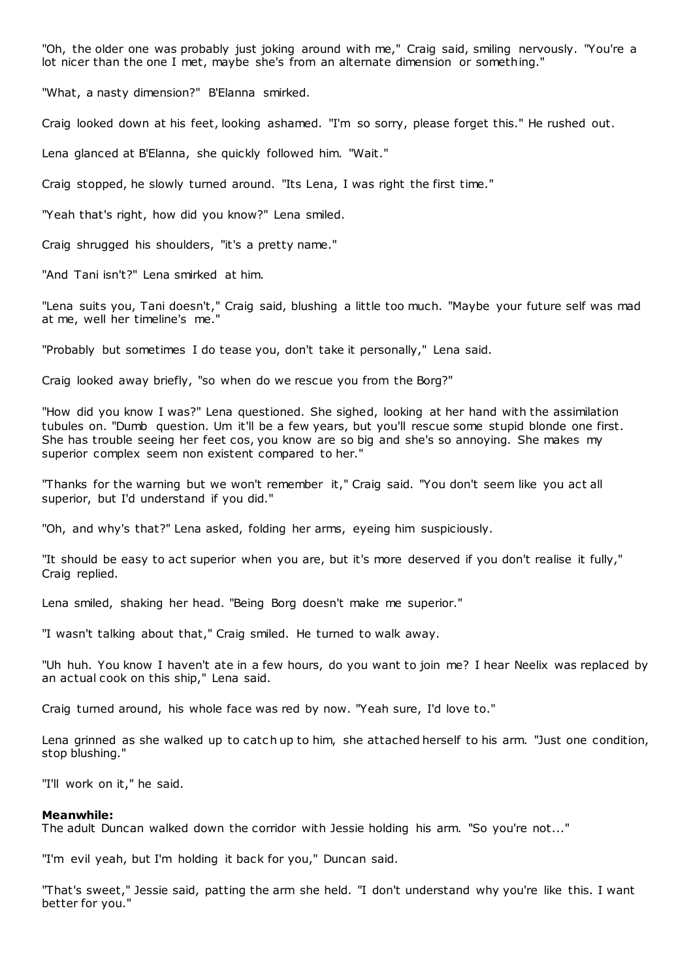"Oh, the older one was probably just joking around with me," Craig said, smiling nervously. "You're a lot nicer than the one I met, maybe she's from an alternate dimension or something."

"What, a nasty dimension?" B'Elanna smirked.

Craig looked down at his feet, looking ashamed. "I'm so sorry, please forget this." He rushed out.

Lena glanced at B'Elanna, she quickly followed him. "Wait."

Craig stopped, he slowly turned around. "Its Lena, I was right the first time."

"Yeah that's right, how did you know?" Lena smiled.

Craig shrugged his shoulders, "it's a pretty name."

"And Tani isn't?" Lena smirked at him.

"Lena suits you, Tani doesn't," Craig said, blushing a little too much. "Maybe your future self was mad at me, well her timeline's me."

"Probably but sometimes I do tease you, don't take it personally," Lena said.

Craig looked away briefly, "so when do we rescue you from the Borg?"

"How did you know I was?" Lena questioned. She sighed, looking at her hand with the assimilation tubules on. "Dumb question. Um it'll be a few years, but you'll rescue some stupid blonde one first. She has trouble seeing her feet cos, you know are so big and she's so annoying. She makes my superior complex seem non existent compared to her."

"Thanks for the warning but we won't remember it," Craig said. "You don't seem like you act all superior, but I'd understand if you did."

"Oh, and why's that?" Lena asked, folding her arms, eyeing him suspiciously.

"It should be easy to act superior when you are, but it's more deserved if you don't realise it fully," Craig replied.

Lena smiled, shaking her head. "Being Borg doesn't make me superior."

"I wasn't talking about that," Craig smiled. He turned to walk away.

"Uh huh. You know I haven't ate in a few hours, do you want to join me? I hear Neelix was replaced by an actual cook on this ship," Lena said.

Craig turned around, his whole face was red by now. "Yeah sure, I'd love to."

Lena grinned as she walked up to catch up to him, she attached herself to his arm. "Just one condition, stop blushing."

"I'll work on it," he said.

#### **Meanwhile:**

The adult Duncan walked down the corridor with Jessie holding his arm. "So you're not..."

"I'm evil yeah, but I'm holding it back for you," Duncan said.

"That's sweet," Jessie said, patting the arm she held. "I don't understand why you're like this. I want better for you."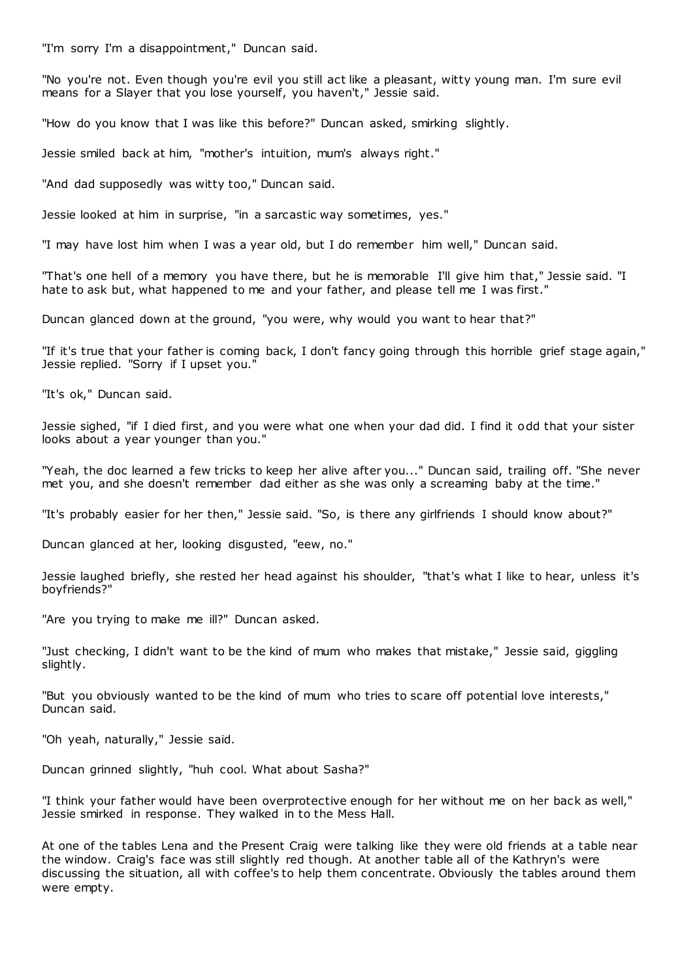"I'm sorry I'm a disappointment," Duncan said.

"No you're not. Even though you're evil you still act like a pleasant, witty young man. I'm sure evil means for a Slayer that you lose yourself, you haven't," Jessie said.

"How do you know that I was like this before?" Duncan asked, smirking slightly.

Jessie smiled back at him, "mother's intuition, mum's always right."

"And dad supposedly was witty too," Duncan said.

Jessie looked at him in surprise, "in a sarcastic way sometimes, yes."

"I may have lost him when I was a year old, but I do remember him well," Duncan said.

"That's one hell of a memory you have there, but he is memorable I'll give him that," Jessie said. "I hate to ask but, what happened to me and your father, and please tell me I was first."

Duncan glanced down at the ground, "you were, why would you want to hear that?"

"If it's true that your father is coming back, I don't fancy going through this horrible grief stage again," Jessie replied. "Sorry if I upset you."

"It's ok," Duncan said.

Jessie sighed, "if I died first, and you were what one when your dad did. I find it odd that your sister looks about a year younger than you."

"Yeah, the doc learned a few tricks to keep her alive after you..." Duncan said, trailing off. "She never met you, and she doesn't remember dad either as she was only a screaming baby at the time."

"It's probably easier for her then," Jessie said. "So, is there any girlfriends I should know about?"

Duncan glanced at her, looking disgusted, "eew, no."

Jessie laughed briefly, she rested her head against his shoulder, "that's what I like to hear, unless it's boyfriends?"

"Are you trying to make me ill?" Duncan asked.

"Just checking, I didn't want to be the kind of mum who makes that mistake," Jessie said, giggling slightly.

"But you obviously wanted to be the kind of mum who tries to scare off potential love interests," Duncan said.

"Oh yeah, naturally," Jessie said.

Duncan grinned slightly, "huh cool. What about Sasha?"

"I think your father would have been overprotective enough for her without me on her back as well," Jessie smirked in response. They walked in to the Mess Hall.

At one of the tables Lena and the Present Craig were talking like they were old friends at a table near the window. Craig's face was still slightly red though. At another table all of the Kathryn's were discussing the situation, all with coffee's to help them concentrate. Obviously the tables around them were empty.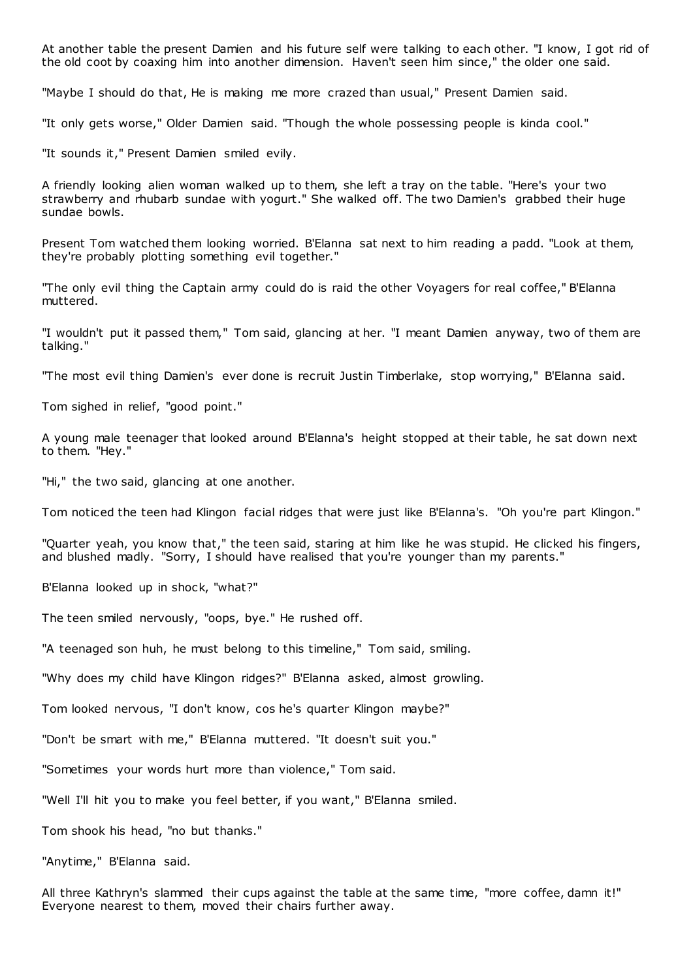At another table the present Damien and his future self were talking to each other. "I know, I got rid of the old coot by coaxing him into another dimension. Haven't seen him since," the older one said.

"Maybe I should do that, He is making me more crazed than usual," Present Damien said.

"It only gets worse," Older Damien said. "Though the whole possessing people is kinda cool."

"It sounds it," Present Damien smiled evily.

A friendly looking alien woman walked up to them, she left a tray on the table. "Here's your two strawberry and rhubarb sundae with yogurt." She walked off. The two Damien's grabbed their huge sundae bowls.

Present Tom watched them looking worried. B'Elanna sat next to him reading a padd. "Look at them, they're probably plotting something evil together."

"The only evil thing the Captain army could do is raid the other Voyagers for real coffee," B'Elanna muttered.

"I wouldn't put it passed them," Tom said, glancing at her. "I meant Damien anyway, two of them are talking."

"The most evil thing Damien's ever done is recruit Justin Timberlake, stop worrying," B'Elanna said.

Tom sighed in relief, "good point."

A young male teenager that looked around B'Elanna's height stopped at their table, he sat down next to them. "Hey."

"Hi," the two said, glancing at one another.

Tom noticed the teen had Klingon facial ridges that were just like B'Elanna's. "Oh you're part Klingon."

"Quarter yeah, you know that," the teen said, staring at him like he was stupid. He clicked his fingers, and blushed madly. "Sorry, I should have realised that you're younger than my parents."

B'Elanna looked up in shock, "what?"

The teen smiled nervously, "oops, bye." He rushed off.

"A teenaged son huh, he must belong to this timeline," Tom said, smiling.

"Why does my child have Klingon ridges?" B'Elanna asked, almost growling.

Tom looked nervous, "I don't know, cos he's quarter Klingon maybe?"

"Don't be smart with me," B'Elanna muttered. "It doesn't suit you."

"Sometimes your words hurt more than violence," Tom said.

"Well I'll hit you to make you feel better, if you want," B'Elanna smiled.

Tom shook his head, "no but thanks."

"Anytime," B'Elanna said.

All three Kathryn's slammed their cups against the table at the same time, "more coffee, damn it!" Everyone nearest to them, moved their chairs further away.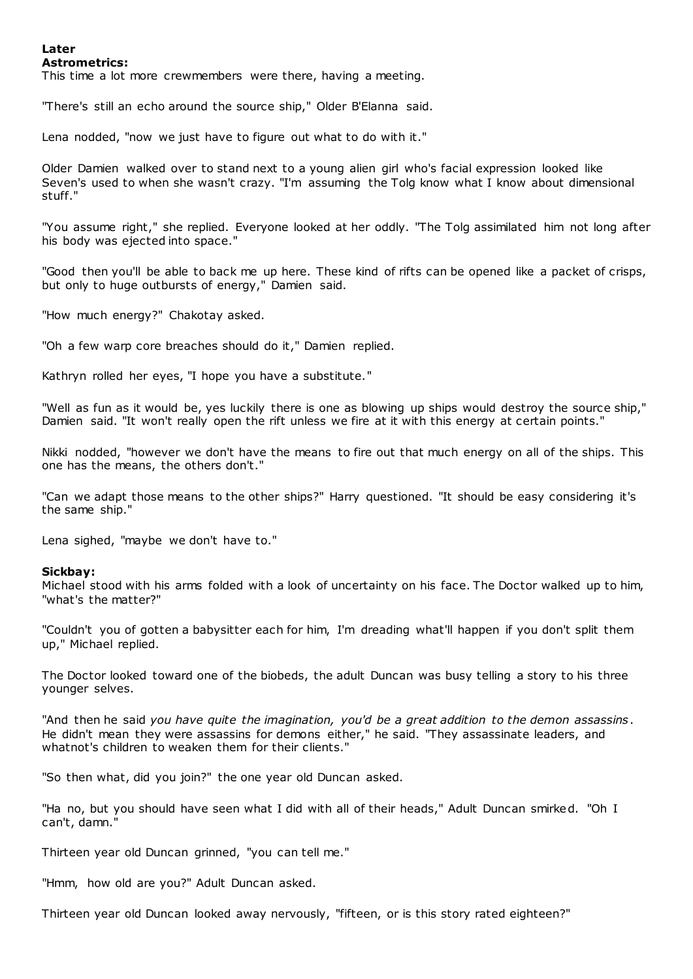## **Later**

## **Astrometrics:**

This time a lot more crewmembers were there, having a meeting.

"There's still an echo around the source ship," Older B'Elanna said.

Lena nodded, "now we just have to figure out what to do with it."

Older Damien walked over to stand next to a young alien girl who's facial expression looked like Seven's used to when she wasn't crazy. "I'm assuming the Tolg know what I know about dimensional stuff."

"You assume right," she replied. Everyone looked at her oddly. "The Tolg assimilated him not long after his body was ejected into space."

"Good then you'll be able to back me up here. These kind of rifts can be opened like a packet of crisps, but only to huge outbursts of energy," Damien said.

"How much energy?" Chakotay asked.

"Oh a few warp core breaches should do it," Damien replied.

Kathryn rolled her eyes, "I hope you have a substitute."

"Well as fun as it would be, yes luckily there is one as blowing up ships would destroy the source ship," Damien said. "It won't really open the rift unless we fire at it with this energy at certain points."

Nikki nodded, "however we don't have the means to fire out that much energy on all of the ships. This one has the means, the others don't."

"Can we adapt those means to the other ships?" Harry questioned. "It should be easy considering it's the same ship."

Lena sighed, "maybe we don't have to."

## **Sickbay:**

Michael stood with his arms folded with a look of uncertainty on his face. The Doctor walked up to him, "what's the matter?"

"Couldn't you of gotten a babysitter each for him, I'm dreading what'll happen if you don't split them up," Michael replied.

The Doctor looked toward one of the biobeds, the adult Duncan was busy telling a story to his three younger selves.

"And then he said *you have quite the imagination, you'd be a great addition to the demon assassins*. He didn't mean they were assassins for demons either," he said. "They assassinate leaders, and whatnot's children to weaken them for their clients."

"So then what, did you join?" the one year old Duncan asked.

"Ha no, but you should have seen what I did with all of their heads," Adult Duncan smirked. "Oh I can't, damn."

Thirteen year old Duncan grinned, "you can tell me."

"Hmm, how old are you?" Adult Duncan asked.

Thirteen year old Duncan looked away nervously, "fifteen, or is this story rated eighteen?"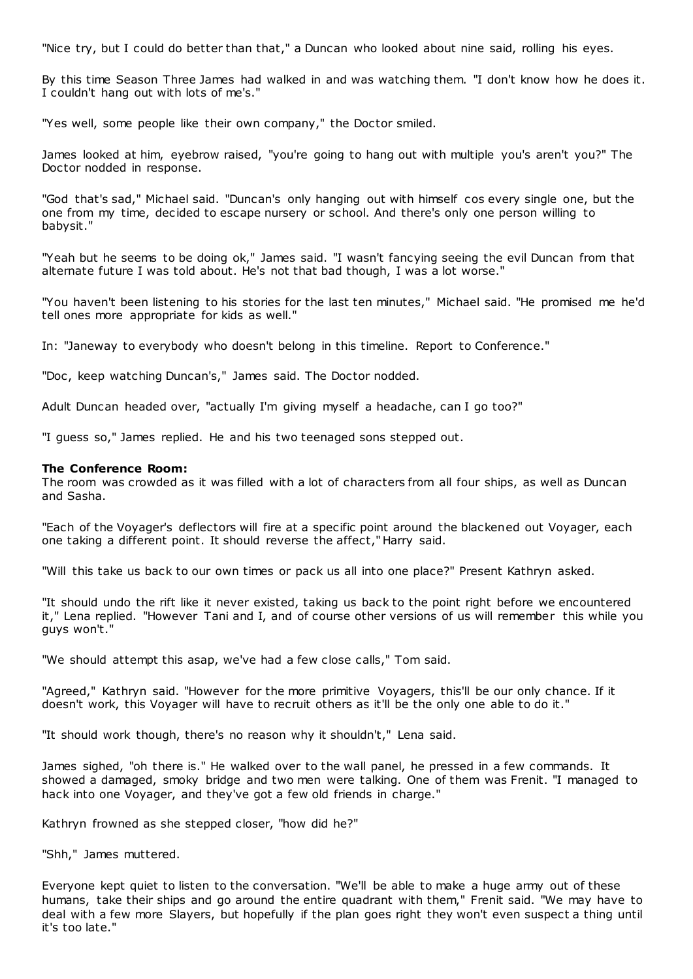"Nice try, but I could do better than that," a Duncan who looked about nine said, rolling his eyes.

By this time Season Three James had walked in and was watching them. "I don't know how he does it. I couldn't hang out with lots of me's."

"Yes well, some people like their own company," the Doctor smiled.

James looked at him, eyebrow raised, "you're going to hang out with multiple you's aren't you?" The Doctor nodded in response.

"God that's sad," Michael said. "Duncan's only hanging out with himself cos every single one, but the one from my time, decided to escape nursery or school. And there's only one person willing to babysit."

"Yeah but he seems to be doing ok," James said. "I wasn't fancying seeing the evil Duncan from that alternate future I was told about. He's not that bad though, I was a lot worse."

"You haven't been listening to his stories for the last ten minutes," Michael said. "He promised me he'd tell ones more appropriate for kids as well."

In: "Janeway to everybody who doesn't belong in this timeline. Report to Conference."

"Doc, keep watching Duncan's," James said. The Doctor nodded.

Adult Duncan headed over, "actually I'm giving myself a headache, can I go too?"

"I guess so," James replied. He and his two teenaged sons stepped out.

#### **The Conference Room:**

The room was crowded as it was filled with a lot of characters from all four ships, as well as Duncan and Sasha.

"Each of the Voyager's deflectors will fire at a specific point around the blackened out Voyager, each one taking a different point. It should reverse the affect," Harry said.

"Will this take us back to our own times or pack us all into one place?" Present Kathryn asked.

"It should undo the rift like it never existed, taking us back to the point right before we encountered it," Lena replied. "However Tani and I, and of course other versions of us will remember this while you guys won't."

"We should attempt this asap, we've had a few close calls," Tom said.

"Agreed," Kathryn said. "However for the more primitive Voyagers, this'll be our only chance. If it doesn't work, this Voyager will have to recruit others as it'll be the only one able to do it."

"It should work though, there's no reason why it shouldn't," Lena said.

James sighed, "oh there is." He walked over to the wall panel, he pressed in a few commands. It showed a damaged, smoky bridge and two men were talking. One of them was Frenit. "I managed to hack into one Voyager, and they've got a few old friends in charge."

Kathryn frowned as she stepped closer, "how did he?"

"Shh," James muttered.

Everyone kept quiet to listen to the conversation. "We'll be able to make a huge army out of these humans, take their ships and go around the entire quadrant with them," Frenit said. "We may have to deal with a few more Slayers, but hopefully if the plan goes right they won't even suspect a thing until it's too late."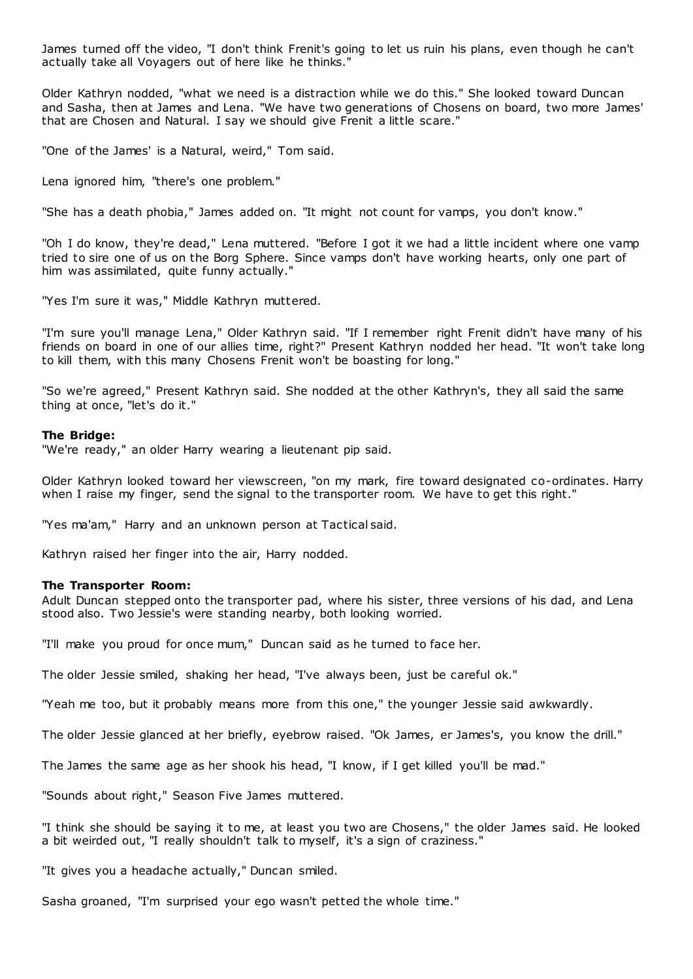James turned off the video, "I don't think Frenit's going to let us ruin his plans, even though he can't actually take all Voyagers out of here like he thinks."

Older Kathryn nodded, "what we need is a distraction while we do this." She looked toward Duncan and Sasha, then at James and Lena. "We have two generations of Chosens on board, two more James' that are Chosen and Natural. I say we should give Frenit a little scare."

"One of the James' is a Natural, weird," Tom said.

Lena ignored him, "there's one problem."

"She has a death phobia," James added on. "It might not count for vamps, you don't know."

"Oh I do know, they're dead," Lena muttered. "Before I got it we had a little incident where one vamp tried to sire one of us on the Borg Sphere. Since vamps don't have working hearts, only one part of him was assimilated, quite funny actually."

"Yes I'm sure it was," Middle Kathryn muttered.

"I'm sure you'll manage Lena," Older Kathryn said. "If I remember right Frenit didn't have many of his friends on board in one of our allies time, right?" Present Kathryn nodded her head. "It won't take long to kill them, with this many Chosens Frenit won't be boasting for long."

"So we're agreed," Present Kathryn said. She nodded at the other Kathryn's, they all said the same thing at once, "let's do it."

#### **The Bridge:**

"We're ready," an older Harry wearing a lieutenant pip said.

Older Kathryn looked toward her viewscreen, "on my mark, fire toward designated co-ordinates. Harry when I raise my finger, send the signal to the transporter room. We have to get this right."

"Yes ma'am," Harry and an unknown person at Tactical said.

Kathryn raised her finger into the air, Harry nodded.

#### **The Transporter Room:**

Adult Duncan stepped onto the transporter pad, where his sister, three versions of his dad, and Lena stood also. Two Jessie's were standing nearby, both looking worried.

"I'll make you proud for once mum," Duncan said as he turned to face her.

The older Jessie smiled, shaking her head, "I've always been, just be careful ok."

"Yeah me too, but it probably means more from this one," the younger Jessie said awkwardly.

The older Jessie glanced at her briefly, eyebrow raised. "Ok James, er James's, you know the drill."

The James the same age as her shook his head, "I know, if I get killed you'll be mad."

"Sounds about right," Season Five James muttered.

"I think she should be saying it to me, at least you two are Chosens," the older James said. He looked a bit weirded out, "I really shouldn't talk to myself, it's a sign of craziness."

"It gives you a headache actually," Duncan smiled.

Sasha groaned, "I'm surprised your ego wasn't petted the whole time."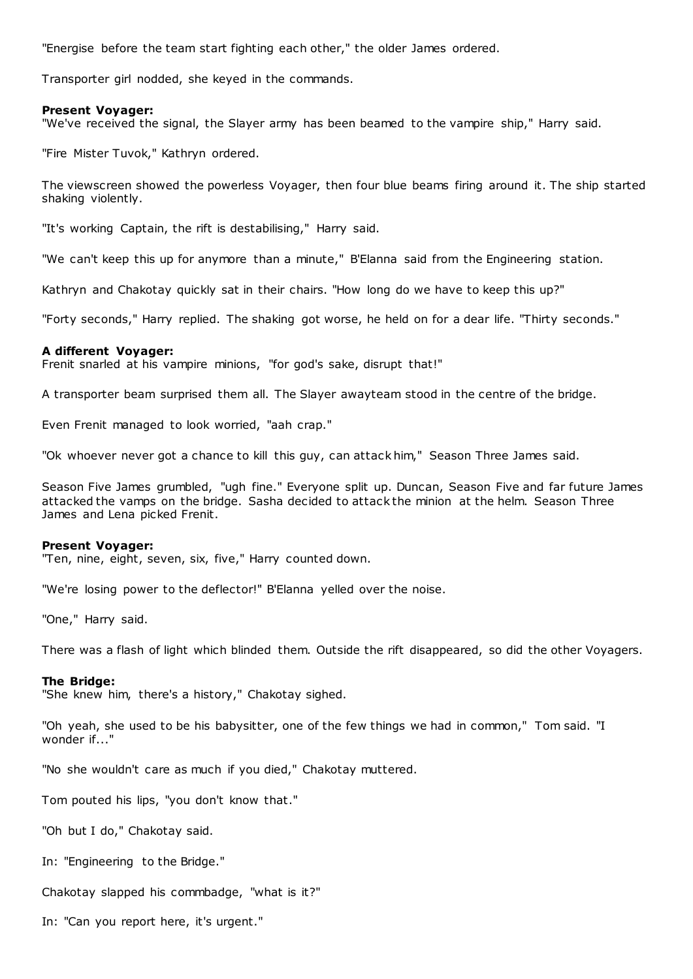"Energise before the team start fighting each other," the older James ordered.

Transporter girl nodded, she keyed in the commands.

## **Present Voyager:**

"We've received the signal, the Slayer army has been beamed to the vampire ship," Harry said.

"Fire Mister Tuvok," Kathryn ordered.

The viewscreen showed the powerless Voyager, then four blue beams firing around it. The ship started shaking violently.

"It's working Captain, the rift is destabilising," Harry said.

"We can't keep this up for anymore than a minute," B'Elanna said from the Engineering station.

Kathryn and Chakotay quickly sat in their chairs. "How long do we have to keep this up?"

"Forty seconds," Harry replied. The shaking got worse, he held on for a dear life. "Thirty seconds."

## **A different Voyager:**

Frenit snarled at his vampire minions, "for god's sake, disrupt that!"

A transporter beam surprised them all. The Slayer awayteam stood in the centre of the bridge.

Even Frenit managed to look worried, "aah crap."

"Ok whoever never got a chance to kill this guy, can attack him," Season Three James said.

Season Five James grumbled, "ugh fine." Everyone split up. Duncan, Season Five and far future James attacked the vamps on the bridge. Sasha decided to attack the minion at the helm. Season Three James and Lena picked Frenit.

## **Present Voyager:**

"Ten, nine, eight, seven, six, five," Harry counted down.

"We're losing power to the deflector!" B'Elanna yelled over the noise.

"One," Harry said.

There was a flash of light which blinded them. Outside the rift disappeared, so did the other Voyagers.

## **The Bridge:**

"She knew him, there's a history," Chakotay sighed.

"Oh yeah, she used to be his babysitter, one of the few things we had in common," Tom said. "I wonder if..."

"No she wouldn't care as much if you died," Chakotay muttered.

Tom pouted his lips, "you don't know that."

"Oh but I do," Chakotay said.

In: "Engineering to the Bridge."

Chakotay slapped his commbadge, "what is it?"

In: "Can you report here, it's urgent."